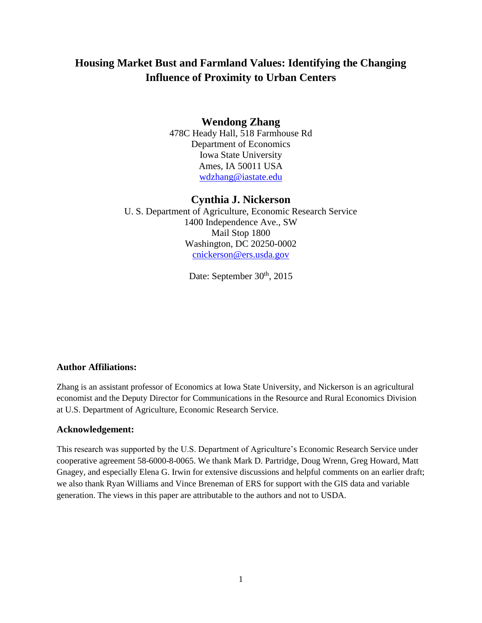# **Housing Market Bust and Farmland Values: Identifying the Changing Influence of Proximity to Urban Centers**

## **Wendong Zhang**

478C Heady Hall, 518 Farmhouse Rd Department of Economics Iowa State University Ames, IA 50011 USA [wdzhang@iastate.edu](mailto:wdzhang@iastate.edu)

## **Cynthia J. Nickerson**

U. S. Department of Agriculture, Economic Research Service 1400 Independence Ave., SW Mail Stop 1800 Washington, DC 20250-0002 [cnickerson@ers.usda.gov](mailto:cnickerson@ers.usda.gov)

Date: September 30<sup>th</sup>, 2015

## **Author Affiliations:**

Zhang is an assistant professor of Economics at Iowa State University, and Nickerson is an agricultural economist and the Deputy Director for Communications in the Resource and Rural Economics Division at U.S. Department of Agriculture, Economic Research Service.

## **Acknowledgement:**

This research was supported by the U.S. Department of Agriculture's Economic Research Service under cooperative agreement 58-6000-8-0065. We thank Mark D. Partridge, Doug Wrenn, Greg Howard, Matt Gnagey, and especially Elena G. Irwin for extensive discussions and helpful comments on an earlier draft; we also thank Ryan Williams and Vince Breneman of ERS for support with the GIS data and variable generation. The views in this paper are attributable to the authors and not to USDA.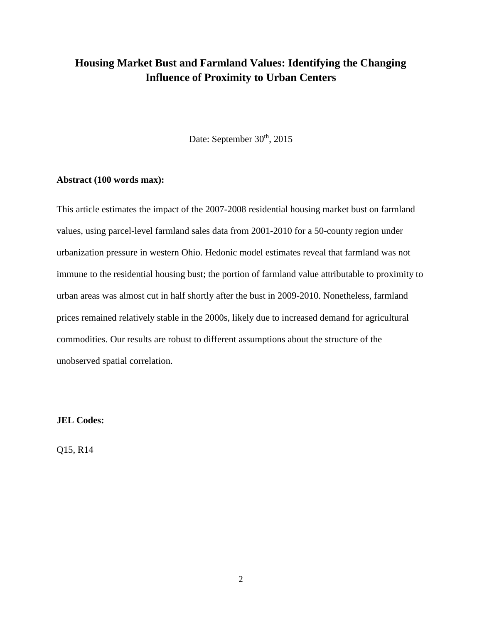# **Housing Market Bust and Farmland Values: Identifying the Changing Influence of Proximity to Urban Centers**

Date: September 30<sup>th</sup>, 2015

### **Abstract (100 words max):**

This article estimates the impact of the 2007-2008 residential housing market bust on farmland values, using parcel-level farmland sales data from 2001-2010 for a 50-county region under urbanization pressure in western Ohio. Hedonic model estimates reveal that farmland was not immune to the residential housing bust; the portion of farmland value attributable to proximity to urban areas was almost cut in half shortly after the bust in 2009-2010. Nonetheless, farmland prices remained relatively stable in the 2000s, likely due to increased demand for agricultural commodities. Our results are robust to different assumptions about the structure of the unobserved spatial correlation.

## **JEL Codes:**

Q15, R14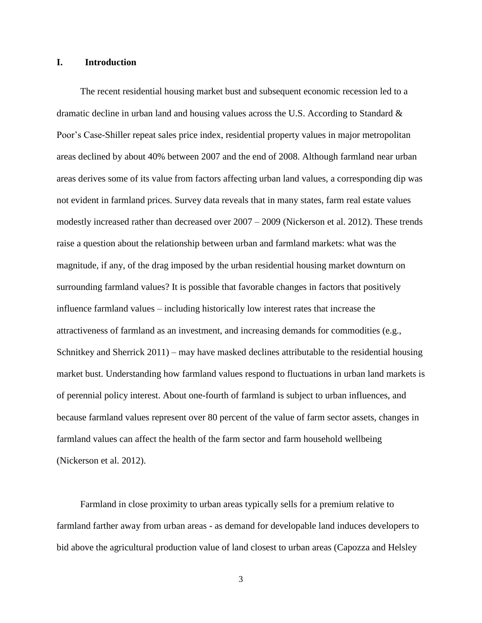#### **I. Introduction**

 The recent residential housing market bust and subsequent economic recession led to a dramatic decline in urban land and housing values across the U.S. According to Standard & Poor's Case-Shiller repeat sales price index, residential property values in major metropolitan areas declined by about 40% between 2007 and the end of 2008. Although farmland near urban areas derives some of its value from factors affecting urban land values, a corresponding dip was not evident in farmland prices. Survey data reveals that in many states, farm real estate values modestly increased rather than decreased over 2007 – 2009 (Nickerson et al. 2012). These trends raise a question about the relationship between urban and farmland markets: what was the magnitude, if any, of the drag imposed by the urban residential housing market downturn on surrounding farmland values? It is possible that favorable changes in factors that positively influence farmland values – including historically low interest rates that increase the attractiveness of farmland as an investment, and increasing demands for commodities (e.g., Schnitkey and Sherrick 2011) – may have masked declines attributable to the residential housing market bust. Understanding how farmland values respond to fluctuations in urban land markets is of perennial policy interest. About one-fourth of farmland is subject to urban influences, and because farmland values represent over 80 percent of the value of farm sector assets, changes in farmland values can affect the health of the farm sector and farm household wellbeing (Nickerson et al. 2012).

Farmland in close proximity to urban areas typically sells for a premium relative to farmland farther away from urban areas - as demand for developable land induces developers to bid above the agricultural production value of land closest to urban areas (Capozza and Helsley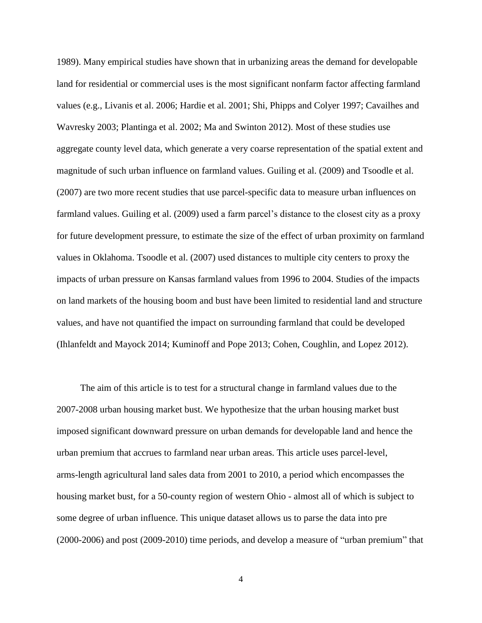1989). Many empirical studies have shown that in urbanizing areas the demand for developable land for residential or commercial uses is the most significant nonfarm factor affecting farmland values (e.g., Livanis et al. 2006; Hardie et al. 2001; Shi, Phipps and Colyer 1997; Cavailhes and Wavresky 2003; Plantinga et al. 2002; Ma and Swinton 2012). Most of these studies use aggregate county level data, which generate a very coarse representation of the spatial extent and magnitude of such urban influence on farmland values. Guiling et al. (2009) and Tsoodle et al. (2007) are two more recent studies that use parcel-specific data to measure urban influences on farmland values. Guiling et al. (2009) used a farm parcel's distance to the closest city as a proxy for future development pressure, to estimate the size of the effect of urban proximity on farmland values in Oklahoma. Tsoodle et al. (2007) used distances to multiple city centers to proxy the impacts of urban pressure on Kansas farmland values from 1996 to 2004. Studies of the impacts on land markets of the housing boom and bust have been limited to residential land and structure values, and have not quantified the impact on surrounding farmland that could be developed (Ihlanfeldt and Mayock 2014; Kuminoff and Pope 2013; Cohen, Coughlin, and Lopez 2012).

 The aim of this article is to test for a structural change in farmland values due to the 2007-2008 urban housing market bust. We hypothesize that the urban housing market bust imposed significant downward pressure on urban demands for developable land and hence the urban premium that accrues to farmland near urban areas. This article uses parcel-level, arms-length agricultural land sales data from 2001 to 2010, a period which encompasses the housing market bust, for a 50-county region of western Ohio - almost all of which is subject to some degree of urban influence. This unique dataset allows us to parse the data into pre (2000-2006) and post (2009-2010) time periods, and develop a measure of "urban premium" that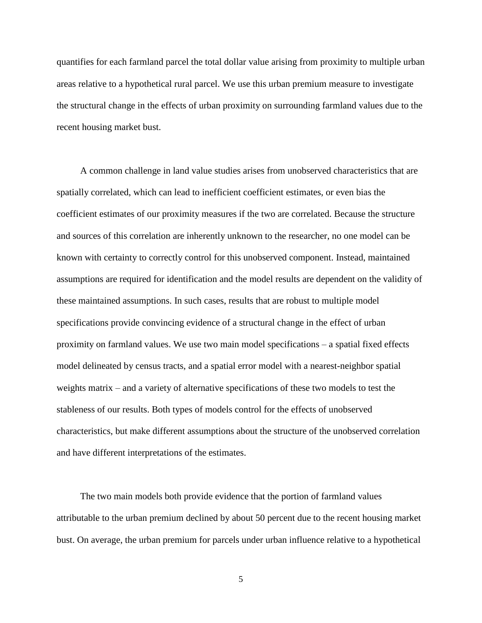quantifies for each farmland parcel the total dollar value arising from proximity to multiple urban areas relative to a hypothetical rural parcel. We use this urban premium measure to investigate the structural change in the effects of urban proximity on surrounding farmland values due to the recent housing market bust.

 A common challenge in land value studies arises from unobserved characteristics that are spatially correlated, which can lead to inefficient coefficient estimates, or even bias the coefficient estimates of our proximity measures if the two are correlated. Because the structure and sources of this correlation are inherently unknown to the researcher, no one model can be known with certainty to correctly control for this unobserved component. Instead, maintained assumptions are required for identification and the model results are dependent on the validity of these maintained assumptions. In such cases, results that are robust to multiple model specifications provide convincing evidence of a structural change in the effect of urban proximity on farmland values. We use two main model specifications – a spatial fixed effects model delineated by census tracts, and a spatial error model with a nearest-neighbor spatial weights matrix – and a variety of alternative specifications of these two models to test the stableness of our results. Both types of models control for the effects of unobserved characteristics, but make different assumptions about the structure of the unobserved correlation and have different interpretations of the estimates.

 The two main models both provide evidence that the portion of farmland values attributable to the urban premium declined by about 50 percent due to the recent housing market bust. On average, the urban premium for parcels under urban influence relative to a hypothetical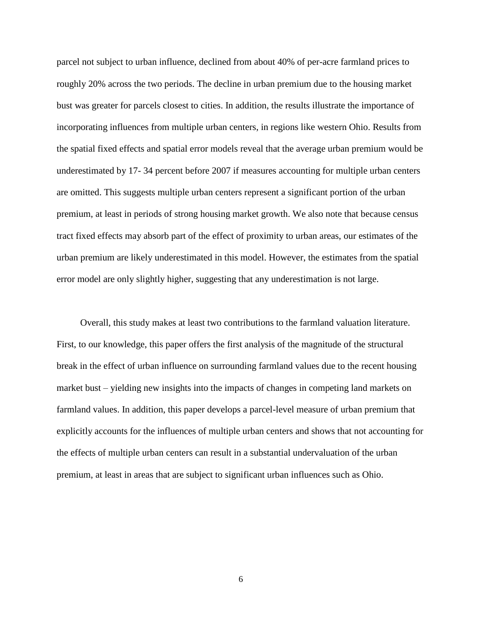parcel not subject to urban influence, declined from about 40% of per-acre farmland prices to roughly 20% across the two periods. The decline in urban premium due to the housing market bust was greater for parcels closest to cities. In addition, the results illustrate the importance of incorporating influences from multiple urban centers, in regions like western Ohio. Results from the spatial fixed effects and spatial error models reveal that the average urban premium would be underestimated by 17- 34 percent before 2007 if measures accounting for multiple urban centers are omitted. This suggests multiple urban centers represent a significant portion of the urban premium, at least in periods of strong housing market growth. We also note that because census tract fixed effects may absorb part of the effect of proximity to urban areas, our estimates of the urban premium are likely underestimated in this model. However, the estimates from the spatial error model are only slightly higher, suggesting that any underestimation is not large.

 Overall, this study makes at least two contributions to the farmland valuation literature. First, to our knowledge, this paper offers the first analysis of the magnitude of the structural break in the effect of urban influence on surrounding farmland values due to the recent housing market bust – yielding new insights into the impacts of changes in competing land markets on farmland values. In addition, this paper develops a parcel-level measure of urban premium that explicitly accounts for the influences of multiple urban centers and shows that not accounting for the effects of multiple urban centers can result in a substantial undervaluation of the urban premium, at least in areas that are subject to significant urban influences such as Ohio.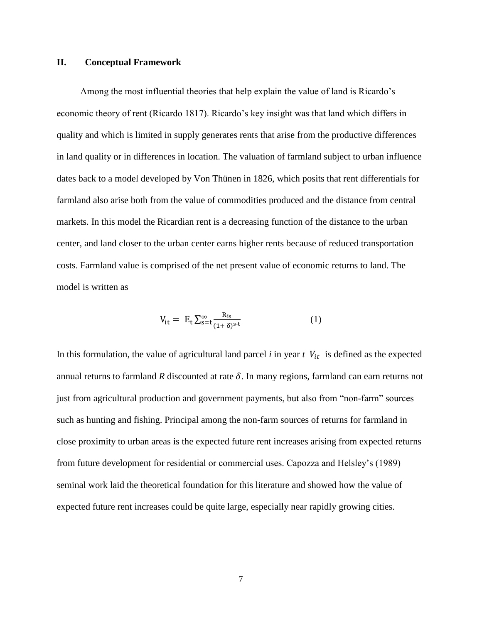### **II. Conceptual Framework**

 Among the most influential theories that help explain the value of land is Ricardo's economic theory of rent (Ricardo 1817). Ricardo's key insight was that land which differs in quality and which is limited in supply generates rents that arise from the productive differences in land quality or in differences in location. The valuation of farmland subject to urban influence dates back to a model developed by Von Thünen in 1826, which posits that rent differentials for farmland also arise both from the value of commodities produced and the distance from central markets. In this model the Ricardian rent is a decreasing function of the distance to the urban center, and land closer to the urban center earns higher rents because of reduced transportation costs. Farmland value is comprised of the net present value of economic returns to land. The model is written as

$$
V_{it} = E_t \sum_{s=t}^{\infty} \frac{R_{is}}{(1+\delta)^{s-t}}
$$
 (1)

In this formulation, the value of agricultural land parcel  $i$  in year  $t$   $V_{it}$  is defined as the expected annual returns to farmland *R* discounted at rate  $\delta$ . In many regions, farmland can earn returns not just from agricultural production and government payments, but also from "non-farm" sources such as hunting and fishing. Principal among the non-farm sources of returns for farmland in close proximity to urban areas is the expected future rent increases arising from expected returns from future development for residential or commercial uses. Capozza and Helsley's (1989) seminal work laid the theoretical foundation for this literature and showed how the value of expected future rent increases could be quite large, especially near rapidly growing cities.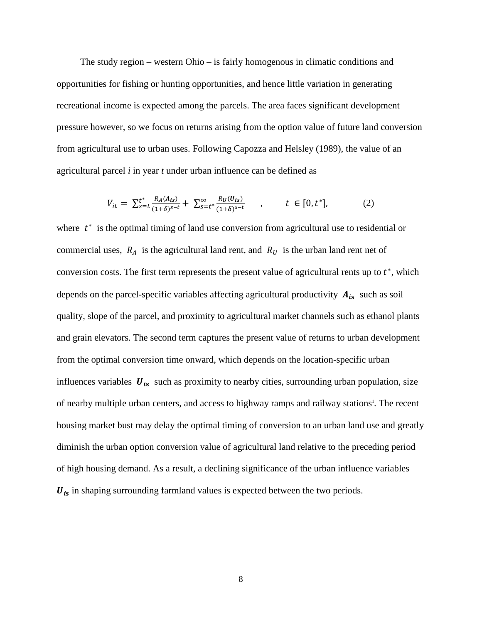The study region – western Ohio – is fairly homogenous in climatic conditions and opportunities for fishing or hunting opportunities, and hence little variation in generating recreational income is expected among the parcels. The area faces significant development pressure however, so we focus on returns arising from the option value of future land conversion from agricultural use to urban uses. Following Capozza and Helsley (1989), the value of an agricultural parcel *i* in year *t* under urban influence can be defined as

$$
V_{it} = \sum_{s=t}^{t^*} \frac{R_A(A_{is})}{(1+\delta)^{s-t}} + \sum_{s=t^*}^{\infty} \frac{R_U(U_{is})}{(1+\delta)^{s-t}}, \qquad t \in [0, t^*],
$$
 (2)

where  $t^*$  is the optimal timing of land use conversion from agricultural use to residential or commercial uses,  $R_A$  is the agricultural land rent, and  $R_U$  is the urban land rent net of conversion costs. The first term represents the present value of agricultural rents up to  $t^*$ , which depends on the parcel-specific variables affecting agricultural productivity  $A_{is}$  such as soil quality, slope of the parcel, and proximity to agricultural market channels such as ethanol plants and grain elevators. The second term captures the present value of returns to urban development from the optimal conversion time onward, which depends on the location-specific urban influences variables  $U_{is}$  such as proximity to nearby cities, surrounding urban population, size of nearby multiple urban centers, and access to highway ramps and railway stations<sup>i</sup>. The recent housing market bust may delay the optimal timing of conversion to an urban land use and greatly diminish the urban option conversion value of agricultural land relative to the preceding period of high housing demand. As a result, a declining significance of the urban influence variables  $U_{is}$  in shaping surrounding farmland values is expected between the two periods.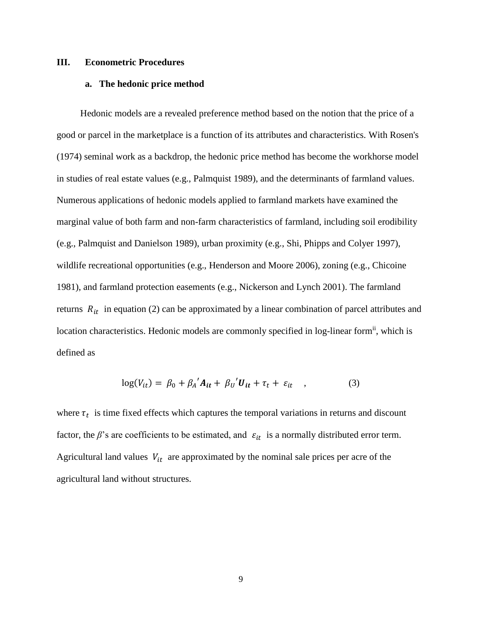#### **III. Econometric Procedures**

#### **a. The hedonic price method**

Hedonic models are a revealed preference method based on the notion that the price of a good or parcel in the marketplace is a function of its attributes and characteristics. With Rosen's (1974) seminal work as a backdrop, the hedonic price method has become the workhorse model in studies of real estate values (e.g., Palmquist 1989), and the determinants of farmland values. Numerous applications of hedonic models applied to farmland markets have examined the marginal value of both farm and non-farm characteristics of farmland, including soil erodibility (e.g., Palmquist and Danielson 1989), urban proximity (e.g., Shi, Phipps and Colyer 1997), wildlife recreational opportunities (e.g., Henderson and Moore 2006), zoning (e.g., Chicoine 1981), and farmland protection easements (e.g., Nickerson and Lynch 2001). The farmland returns  $R_{it}$  in equation (2) can be approximated by a linear combination of parcel attributes and location characteristics. Hedonic models are commonly specified in log-linear form<sup>ii</sup>, which is defined as

$$
log(V_{it}) = \beta_0 + \beta_A' A_{it} + \beta_U' U_{it} + \tau_t + \varepsilon_{it} \quad , \tag{3}
$$

where  $\tau_t$  is time fixed effects which captures the temporal variations in returns and discount factor, the  $\beta$ 's are coefficients to be estimated, and  $\varepsilon_{it}$  is a normally distributed error term. Agricultural land values  $V_{it}$  are approximated by the nominal sale prices per acre of the agricultural land without structures.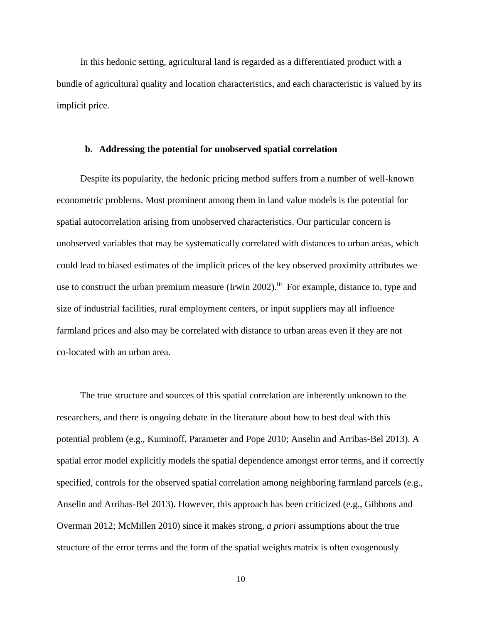In this hedonic setting, agricultural land is regarded as a differentiated product with a bundle of agricultural quality and location characteristics, and each characteristic is valued by its implicit price.

#### **b. Addressing the potential for unobserved spatial correlation**

Despite its popularity, the hedonic pricing method suffers from a number of well-known econometric problems. Most prominent among them in land value models is the potential for spatial autocorrelation arising from unobserved characteristics. Our particular concern is unobserved variables that may be systematically correlated with distances to urban areas, which could lead to biased estimates of the implicit prices of the key observed proximity attributes we use to construct the urban premium measure (Irwin 2002).<sup>iii</sup> For example, distance to, type and size of industrial facilities, rural employment centers, or input suppliers may all influence farmland prices and also may be correlated with distance to urban areas even if they are not co-located with an urban area.

The true structure and sources of this spatial correlation are inherently unknown to the researchers, and there is ongoing debate in the literature about how to best deal with this potential problem (e.g., Kuminoff, Parameter and Pope 2010; Anselin and Arribas-Bel 2013). A spatial error model explicitly models the spatial dependence amongst error terms, and if correctly specified, controls for the observed spatial correlation among neighboring farmland parcels (e.g., Anselin and Arribas-Bel 2013). However, this approach has been criticized (e.g., Gibbons and Overman 2012; McMillen 2010) since it makes strong, *a priori* assumptions about the true structure of the error terms and the form of the spatial weights matrix is often exogenously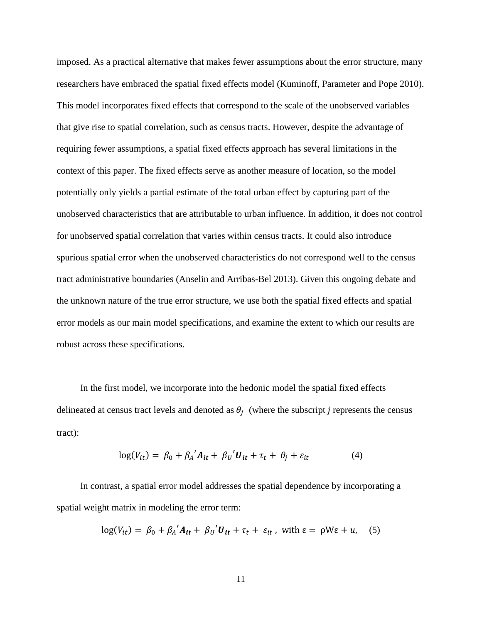imposed. As a practical alternative that makes fewer assumptions about the error structure, many researchers have embraced the spatial fixed effects model (Kuminoff, Parameter and Pope 2010). This model incorporates fixed effects that correspond to the scale of the unobserved variables that give rise to spatial correlation, such as census tracts. However, despite the advantage of requiring fewer assumptions, a spatial fixed effects approach has several limitations in the context of this paper. The fixed effects serve as another measure of location, so the model potentially only yields a partial estimate of the total urban effect by capturing part of the unobserved characteristics that are attributable to urban influence. In addition, it does not control for unobserved spatial correlation that varies within census tracts. It could also introduce spurious spatial error when the unobserved characteristics do not correspond well to the census tract administrative boundaries (Anselin and Arribas-Bel 2013). Given this ongoing debate and the unknown nature of the true error structure, we use both the spatial fixed effects and spatial error models as our main model specifications, and examine the extent to which our results are robust across these specifications.

In the first model, we incorporate into the hedonic model the spatial fixed effects delineated at census tract levels and denoted as  $\theta_j$  (where the subscript *j* represents the census tract):

$$
\log(V_{it}) = \beta_0 + \beta_A' A_{it} + \beta_U' U_{it} + \tau_t + \theta_j + \varepsilon_{it}
$$
 (4)

In contrast, a spatial error model addresses the spatial dependence by incorporating a spatial weight matrix in modeling the error term:

$$
\log(V_{it}) = \beta_0 + \beta_A' A_{it} + \beta_U' U_{it} + \tau_t + \varepsilon_{it}
$$
, with  $\varepsilon = \rho W \varepsilon + u$ , (5)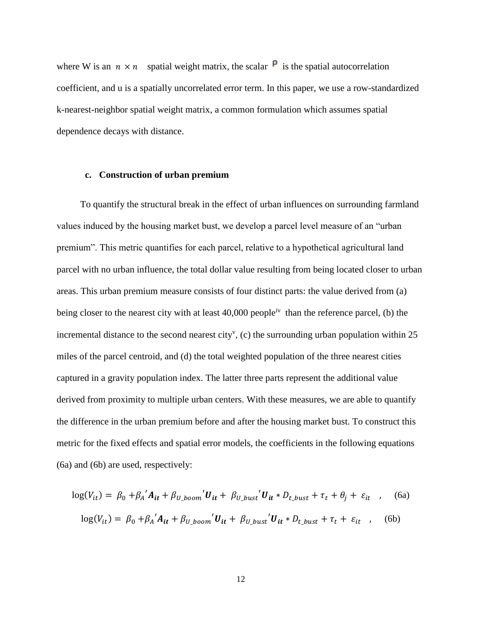where W is an  $n \times n$  spatial weight matrix, the scalar  $\mathsf{P}$  is the spatial autocorrelation coefficient, and u is a spatially uncorrelated error term. In this paper, we use a row-standardized k-nearest-neighbor spatial weight matrix, a common formulation which assumes spatial dependence decays with distance.

#### **c. Construction of urban premium**

To quantify the structural break in the effect of urban influences on surrounding farmland values induced by the housing market bust, we develop a parcel level measure of an "urban premium". This metric quantifies for each parcel, relative to a hypothetical agricultural land parcel with no urban influence, the total dollar value resulting from being located closer to urban areas. This urban premium measure consists of four distinct parts: the value derived from (a) being closer to the nearest city with at least  $40,000$  people<sup>iv</sup> than the reference parcel, (b) the incremental distance to the second nearest city<sup>v</sup>, (c) the surrounding urban population within  $25$ miles of the parcel centroid, and (d) the total weighted population of the three nearest cities captured in a gravity population index. The latter three parts represent the additional value derived from proximity to multiple urban centers. With these measures, we are able to quantify the difference in the urban premium before and after the housing market bust. To construct this metric for the fixed effects and spatial error models, the coefficients in the following equations (6a) and (6b) are used, respectively:

$$
\log(V_{it}) = \beta_0 + \beta_A' A_{it} + \beta_{U\_boom} 'U_{it} + \beta_{U\_burst} 'U_{it} * D_{t\_burst} + \tau_t + \theta_j + \varepsilon_{it} \quad , \quad (6a)
$$

$$
\log(V_{it}) = \beta_0 + \beta_A' A_{it} + \beta_{U\_boom} 'U_{it} + \beta_{U\_bust} 'U_{it} * D_{t\_burst} + \tau_t + \varepsilon_{it} \quad , \quad (6b)
$$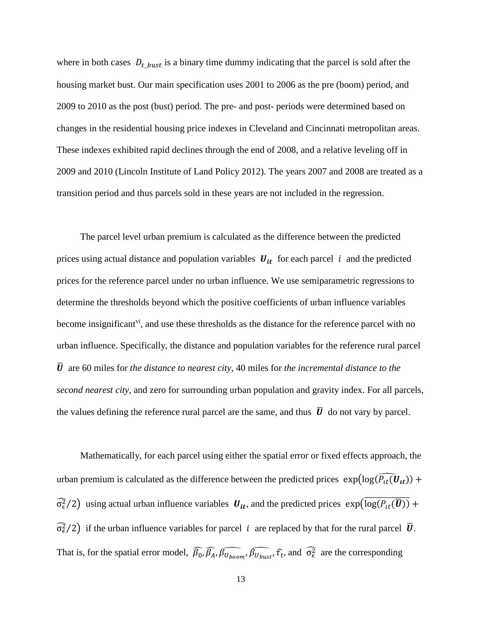where in both cases  $D_{t\_burst}$  is a binary time dummy indicating that the parcel is sold after the housing market bust. Our main specification uses 2001 to 2006 as the pre (boom) period, and 2009 to 2010 as the post (bust) period. The pre- and post- periods were determined based on changes in the residential housing price indexes in Cleveland and Cincinnati metropolitan areas. These indexes exhibited rapid declines through the end of 2008, and a relative leveling off in 2009 and 2010 (Lincoln Institute of Land Policy 2012). The years 2007 and 2008 are treated as a transition period and thus parcels sold in these years are not included in the regression.

 The parcel level urban premium is calculated as the difference between the predicted prices using actual distance and population variables  $U_{it}$  for each parcel i and the predicted prices for the reference parcel under no urban influence. We use semiparametric regressions to determine the thresholds beyond which the positive coefficients of urban influence variables become insignificant<sup>vi</sup>, and use these thresholds as the distance for the reference parcel with no urban influence. Specifically, the distance and population variables for the reference rural parcel  $\bar{U}$  are 60 miles for *the distance to nearest city*, 40 miles for *the incremental distance to the second nearest city*, and zero for surrounding urban population and gravity index. For all parcels, the values defining the reference rural parcel are the same, and thus  $\overline{U}$  do not vary by parcel.

Mathematically, for each parcel using either the spatial error or fixed effects approach, the urban premium is calculated as the difference between the predicted prices  $\exp(\log(\widehat{P_{tt}(U_{tt})}) +$  $\widehat{\sigma_{\epsilon}^2}$  are  $\sigma_{\epsilon}^2$  and influence variables  $U_{it}$ , and the predicted prices  $\exp(\overline{\log(P_{it}(\bar{U}))} +$  $\widehat{\sigma_{\epsilon}^2}$ /2) if the urban influence variables for parcel *i* are replaced by that for the rural parcel  $\overline{U}$ . That is, for the spatial error model,  $\widehat{\beta_0}$ ,  $\widehat{\beta_A}$ ,  $\widehat{\beta_{U_{bowst}}}$ ,  $\widehat{\beta_{U_{bust}}}$ ,  $\widehat{\tau_t}$ , and  $\widehat{\sigma_\epsilon^2}$  are the corresponding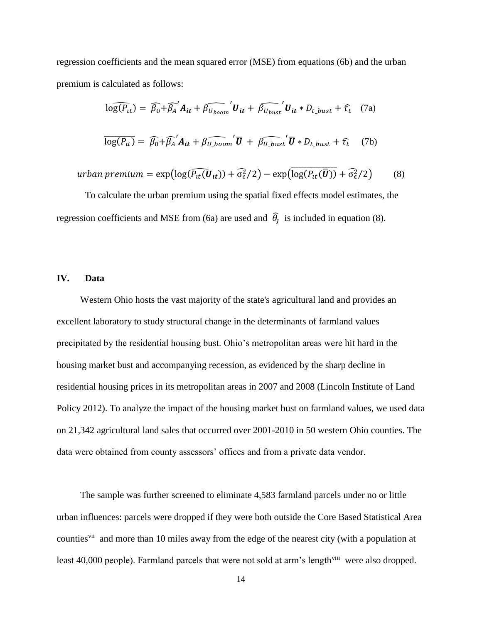regression coefficients and the mean squared error (MSE) from equations (6b) and the urban premium is calculated as follows:

$$
\widehat{\log(P_{it})} = \widehat{\beta_0} + \widehat{\beta_A}^{\prime} A_{it} + \widehat{\beta_{U_{boom}}}^{\prime} U_{it} + \widehat{\beta_{U_{burst}}}^{\prime} U_{it} * D_{t\_burst} + \widehat{\tau_t} \quad (7a)
$$
  

$$
\overline{\log(P_{it})} = \widehat{\beta_0} + \widehat{\beta_A}^{\prime} A_{it} + \widehat{\beta_{U\_boom}}^{\prime} \overline{U} + \widehat{\beta_{U\_burst}}^{\prime} \overline{U} * D_{t\_burst} + \widehat{\tau_t} \quad (7b)
$$

urban premium =  $\exp(\log(\widehat{P_{tt}(\boldsymbol{U_{tt}})}) + \widehat{\sigma_{\epsilon}^2}/2) - \exp(\overline{\log(P_{tt}(\boldsymbol{\overline{U}}))} + \widehat{\sigma_{\epsilon}^2}/2)$  (8)

To calculate the urban premium using the spatial fixed effects model estimates, the regression coefficients and MSE from (6a) are used and  $\hat{\theta}_1$  is included in equation (8).

#### **IV. Data**

 Western Ohio hosts the vast majority of the state's agricultural land and provides an excellent laboratory to study structural change in the determinants of farmland values precipitated by the residential housing bust. Ohio's metropolitan areas were hit hard in the housing market bust and accompanying recession, as evidenced by the sharp decline in residential housing prices in its metropolitan areas in 2007 and 2008 (Lincoln Institute of Land Policy 2012). To analyze the impact of the housing market bust on farmland values, we used data on 21,342 agricultural land sales that occurred over 2001-2010 in 50 western Ohio counties. The data were obtained from county assessors' offices and from a private data vendor.

 The sample was further screened to eliminate 4,583 farmland parcels under no or little urban influences: parcels were dropped if they were both outside the Core Based Statistical Area counties<sup>vii</sup> and more than 10 miles away from the edge of the nearest city (with a population at least 40,000 people). Farmland parcels that were not sold at arm's length<sup>viii</sup> were also dropped.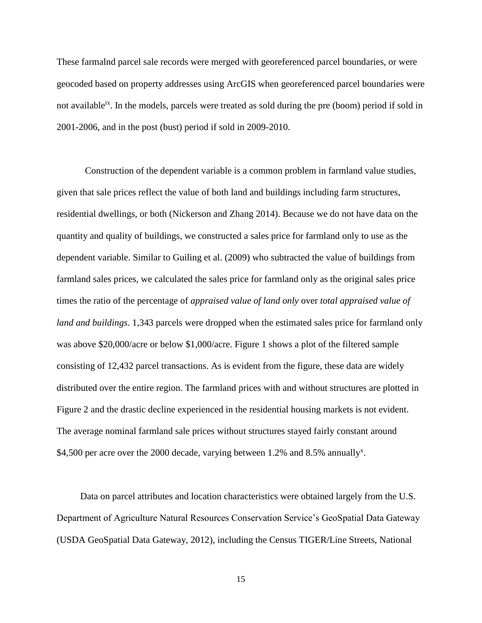These farmalnd parcel sale records were merged with georeferenced parcel boundaries, or were geocoded based on property addresses using ArcGIS when georeferenced parcel boundaries were not available<sup>ix</sup>. In the models, parcels were treated as sold during the pre (boom) period if sold in 2001-2006, and in the post (bust) period if sold in 2009-2010.

 Construction of the dependent variable is a common problem in farmland value studies, given that sale prices reflect the value of both land and buildings including farm structures, residential dwellings, or both (Nickerson and Zhang 2014). Because we do not have data on the quantity and quality of buildings, we constructed a sales price for farmland only to use as the dependent variable. Similar to Guiling et al. (2009) who subtracted the value of buildings from farmland sales prices, we calculated the sales price for farmland only as the original sales price times the ratio of the percentage of *appraised value of land only* over *total appraised value of land and buildings*. 1,343 parcels were dropped when the estimated sales price for farmland only was above \$20,000/acre or below \$1,000/acre. Figure 1 shows a plot of the filtered sample consisting of 12,432 parcel transactions. As is evident from the figure, these data are widely distributed over the entire region. The farmland prices with and without structures are plotted in Figure 2 and the drastic decline experienced in the residential housing markets is not evident. The average nominal farmland sale prices without structures stayed fairly constant around \$4,500 per acre over the 2000 decade, varying between 1.2% and 8.5% annually<sup>x</sup>.

 Data on parcel attributes and location characteristics were obtained largely from the U.S. Department of Agriculture Natural Resources Conservation Service's GeoSpatial Data Gateway (USDA GeoSpatial Data Gateway, 2012), including the Census TIGER/Line Streets, National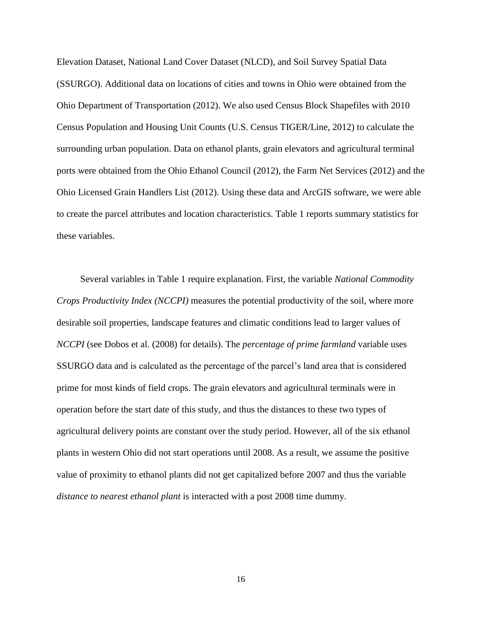Elevation Dataset, National Land Cover Dataset (NLCD), and Soil Survey Spatial Data (SSURGO). Additional data on locations of cities and towns in Ohio were obtained from the Ohio Department of Transportation (2012). We also used Census Block Shapefiles with 2010 Census Population and Housing Unit Counts (U.S. Census TIGER/Line, 2012) to calculate the surrounding urban population. Data on ethanol plants, grain elevators and agricultural terminal ports were obtained from the Ohio Ethanol Council (2012), the Farm Net Services (2012) and the Ohio Licensed Grain Handlers List (2012). Using these data and ArcGIS software, we were able to create the parcel attributes and location characteristics. Table 1 reports summary statistics for these variables.

 Several variables in Table 1 require explanation. First, the variable *National Commodity Crops Productivity Index (NCCPI)* measures the potential productivity of the soil, where more desirable soil properties, landscape features and climatic conditions lead to larger values of *NCCPI* (see Dobos et al. (2008) for details). The *percentage of prime farmland* variable uses SSURGO data and is calculated as the percentage of the parcel's land area that is considered prime for most kinds of field crops. The grain elevators and agricultural terminals were in operation before the start date of this study, and thus the distances to these two types of agricultural delivery points are constant over the study period. However, all of the six ethanol plants in western Ohio did not start operations until 2008. As a result, we assume the positive value of proximity to ethanol plants did not get capitalized before 2007 and thus the variable *distance to nearest ethanol plant* is interacted with a post 2008 time dummy.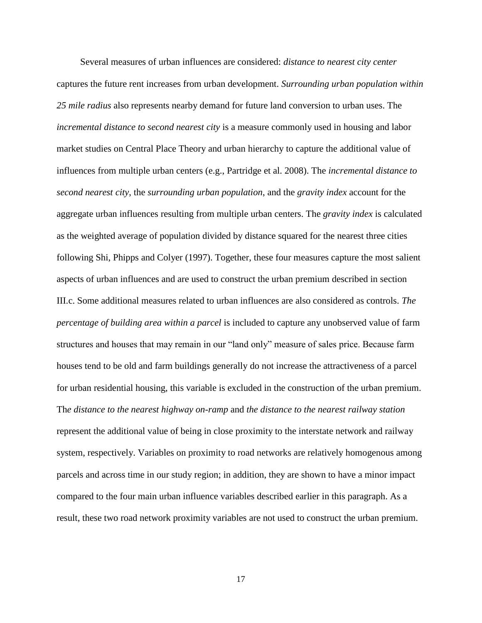Several measures of urban influences are considered: *distance to nearest city center* captures the future rent increases from urban development. *Surrounding urban population within 25 mile radius* also represents nearby demand for future land conversion to urban uses. The *incremental distance to second nearest city* is a measure commonly used in housing and labor market studies on Central Place Theory and urban hierarchy to capture the additional value of influences from multiple urban centers (e.g., Partridge et al. 2008). The *incremental distance to second nearest city*, the *surrounding urban population*, and the *gravity index* account for the aggregate urban influences resulting from multiple urban centers. The *gravity index* is calculated as the weighted average of population divided by distance squared for the nearest three cities following Shi, Phipps and Colyer (1997). Together, these four measures capture the most salient aspects of urban influences and are used to construct the urban premium described in section III.c. Some additional measures related to urban influences are also considered as controls. *The percentage of building area within a parcel* is included to capture any unobserved value of farm structures and houses that may remain in our "land only" measure of sales price. Because farm houses tend to be old and farm buildings generally do not increase the attractiveness of a parcel for urban residential housing, this variable is excluded in the construction of the urban premium. Th*e distance to the nearest highway on-ramp* and *the distance to the nearest railway station* represent the additional value of being in close proximity to the interstate network and railway system, respectively. Variables on proximity to road networks are relatively homogenous among parcels and across time in our study region; in addition, they are shown to have a minor impact compared to the four main urban influence variables described earlier in this paragraph. As a result, these two road network proximity variables are not used to construct the urban premium.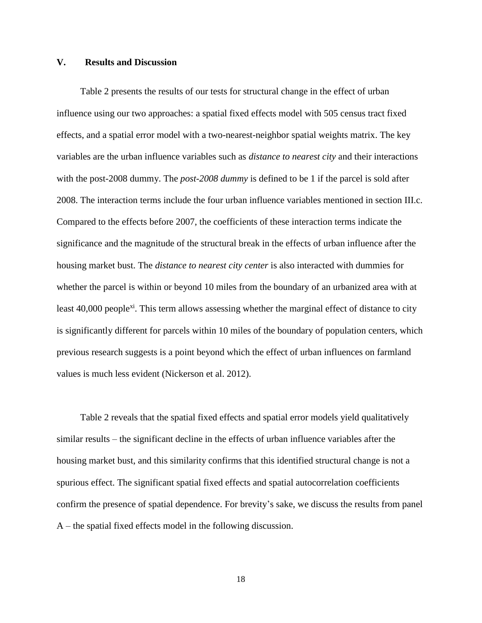### **V. Results and Discussion**

 Table 2 presents the results of our tests for structural change in the effect of urban influence using our two approaches: a spatial fixed effects model with 505 census tract fixed effects, and a spatial error model with a two-nearest-neighbor spatial weights matrix. The key variables are the urban influence variables such as *distance to nearest city* and their interactions with the post-2008 dummy. The *post-2008 dummy* is defined to be 1 if the parcel is sold after 2008. The interaction terms include the four urban influence variables mentioned in section III.c. Compared to the effects before 2007, the coefficients of these interaction terms indicate the significance and the magnitude of the structural break in the effects of urban influence after the housing market bust. The *distance to nearest city center* is also interacted with dummies for whether the parcel is within or beyond 10 miles from the boundary of an urbanized area with at least 40,000 people<sup>xi</sup>. This term allows assessing whether the marginal effect of distance to city is significantly different for parcels within 10 miles of the boundary of population centers, which previous research suggests is a point beyond which the effect of urban influences on farmland values is much less evident (Nickerson et al. 2012).

 Table 2 reveals that the spatial fixed effects and spatial error models yield qualitatively similar results – the significant decline in the effects of urban influence variables after the housing market bust, and this similarity confirms that this identified structural change is not a spurious effect. The significant spatial fixed effects and spatial autocorrelation coefficients confirm the presence of spatial dependence. For brevity's sake, we discuss the results from panel A – the spatial fixed effects model in the following discussion.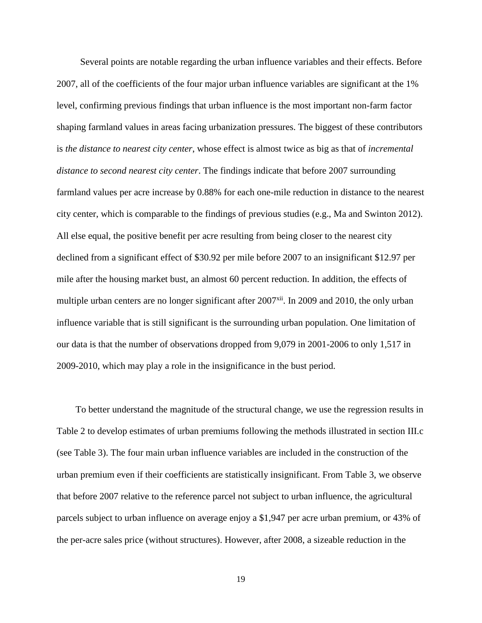Several points are notable regarding the urban influence variables and their effects. Before 2007, all of the coefficients of the four major urban influence variables are significant at the 1% level, confirming previous findings that urban influence is the most important non-farm factor shaping farmland values in areas facing urbanization pressures. The biggest of these contributors is *the distance to nearest city center*, whose effect is almost twice as big as that of *incremental distance to second nearest city center*. The findings indicate that before 2007 surrounding farmland values per acre increase by 0.88% for each one-mile reduction in distance to the nearest city center, which is comparable to the findings of previous studies (e.g., Ma and Swinton 2012). All else equal, the positive benefit per acre resulting from being closer to the nearest city declined from a significant effect of \$30.92 per mile before 2007 to an insignificant \$12.97 per mile after the housing market bust, an almost 60 percent reduction. In addition, the effects of multiple urban centers are no longer significant after  $2007<sup>xii</sup>$ . In 2009 and 2010, the only urban influence variable that is still significant is the surrounding urban population. One limitation of our data is that the number of observations dropped from 9,079 in 2001-2006 to only 1,517 in 2009-2010, which may play a role in the insignificance in the bust period.

To better understand the magnitude of the structural change, we use the regression results in Table 2 to develop estimates of urban premiums following the methods illustrated in section III.c (see Table 3). The four main urban influence variables are included in the construction of the urban premium even if their coefficients are statistically insignificant. From Table 3, we observe that before 2007 relative to the reference parcel not subject to urban influence, the agricultural parcels subject to urban influence on average enjoy a \$1,947 per acre urban premium, or 43% of the per-acre sales price (without structures). However, after 2008, a sizeable reduction in the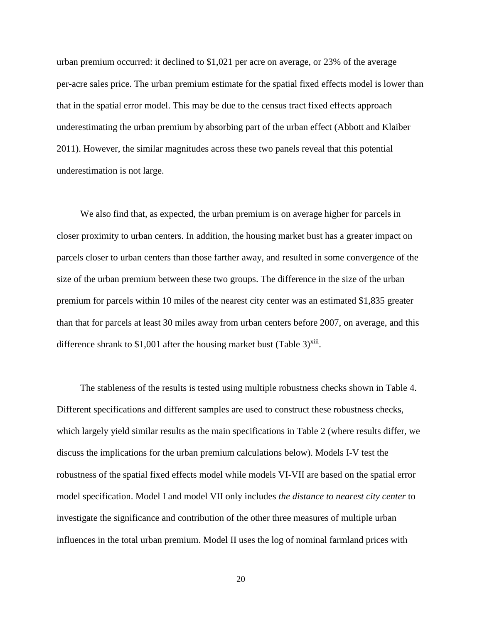urban premium occurred: it declined to \$1,021 per acre on average, or 23% of the average per-acre sales price. The urban premium estimate for the spatial fixed effects model is lower than that in the spatial error model. This may be due to the census tract fixed effects approach underestimating the urban premium by absorbing part of the urban effect (Abbott and Klaiber 2011). However, the similar magnitudes across these two panels reveal that this potential underestimation is not large.

 We also find that, as expected, the urban premium is on average higher for parcels in closer proximity to urban centers. In addition, the housing market bust has a greater impact on parcels closer to urban centers than those farther away, and resulted in some convergence of the size of the urban premium between these two groups. The difference in the size of the urban premium for parcels within 10 miles of the nearest city center was an estimated \$1,835 greater than that for parcels at least 30 miles away from urban centers before 2007, on average, and this difference shrank to \$1,001 after the housing market bust (Table 3) $x$ iii.

 The stableness of the results is tested using multiple robustness checks shown in Table 4. Different specifications and different samples are used to construct these robustness checks, which largely yield similar results as the main specifications in Table 2 (where results differ, we discuss the implications for the urban premium calculations below). Models I-V test the robustness of the spatial fixed effects model while models VI-VII are based on the spatial error model specification. Model I and model VII only includes *the distance to nearest city center* to investigate the significance and contribution of the other three measures of multiple urban influences in the total urban premium. Model II uses the log of nominal farmland prices with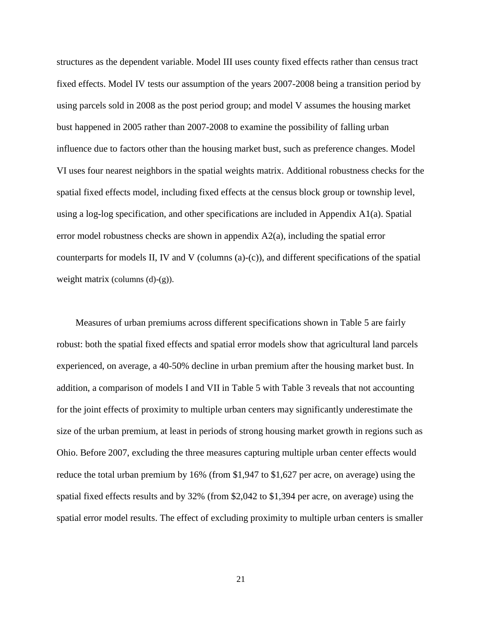structures as the dependent variable. Model III uses county fixed effects rather than census tract fixed effects. Model IV tests our assumption of the years 2007-2008 being a transition period by using parcels sold in 2008 as the post period group; and model V assumes the housing market bust happened in 2005 rather than 2007-2008 to examine the possibility of falling urban influence due to factors other than the housing market bust, such as preference changes. Model VI uses four nearest neighbors in the spatial weights matrix. Additional robustness checks for the spatial fixed effects model, including fixed effects at the census block group or township level, using a log-log specification, and other specifications are included in Appendix A1(a). Spatial error model robustness checks are shown in appendix A2(a), including the spatial error counterparts for models II, IV and V (columns  $(a)-(c)$ ), and different specifications of the spatial weight matrix (columns  $(d)-(g)$ ).

Measures of urban premiums across different specifications shown in Table 5 are fairly robust: both the spatial fixed effects and spatial error models show that agricultural land parcels experienced, on average, a 40-50% decline in urban premium after the housing market bust. In addition, a comparison of models I and VII in Table 5 with Table 3 reveals that not accounting for the joint effects of proximity to multiple urban centers may significantly underestimate the size of the urban premium, at least in periods of strong housing market growth in regions such as Ohio. Before 2007, excluding the three measures capturing multiple urban center effects would reduce the total urban premium by 16% (from \$1,947 to \$1,627 per acre, on average) using the spatial fixed effects results and by 32% (from \$2,042 to \$1,394 per acre, on average) using the spatial error model results. The effect of excluding proximity to multiple urban centers is smaller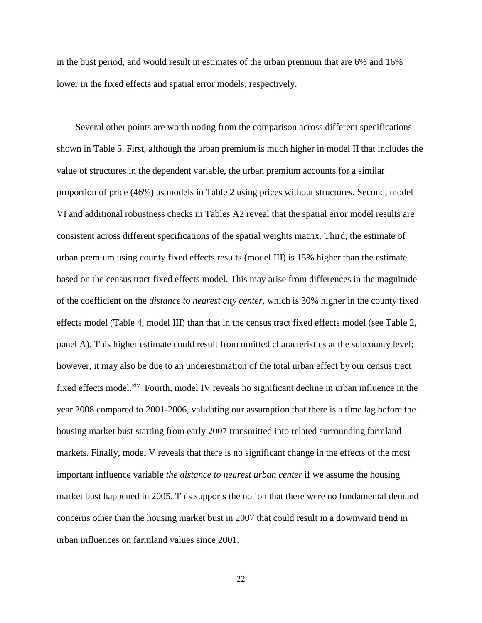in the bust period, and would result in estimates of the urban premium that are 6% and 16% lower in the fixed effects and spatial error models, respectively.

Several other points are worth noting from the comparison across different specifications shown in Table 5. First, although the urban premium is much higher in model II that includes the value of structures in the dependent variable, the urban premium accounts for a similar proportion of price (46%) as models in Table 2 using prices without structures. Second, model VI and additional robustness checks in Tables A2 reveal that the spatial error model results are consistent across different specifications of the spatial weights matrix. Third, the estimate of urban premium using county fixed effects results (model III) is 15% higher than the estimate based on the census tract fixed effects model. This may arise from differences in the magnitude of the coefficient on the *distance to nearest city center,* which is 30% higher in the county fixed effects model (Table 4, model III) than that in the census tract fixed effects model (see Table 2, panel A). This higher estimate could result from omitted characteristics at the subcounty level; however, it may also be due to an underestimation of the total urban effect by our census tract fixed effects model.<sup>xiv</sup> Fourth, model IV reveals no significant decline in urban influence in the year 2008 compared to 2001-2006, validating our assumption that there is a time lag before the housing market bust starting from early 2007 transmitted into related surrounding farmland markets. Finally, model V reveals that there is no significant change in the effects of the most important influence variable *the distance to nearest urban center* if we assume the housing market bust happened in 2005. This supports the notion that there were no fundamental demand concerns other than the housing market bust in 2007 that could result in a downward trend in urban influences on farmland values since 2001.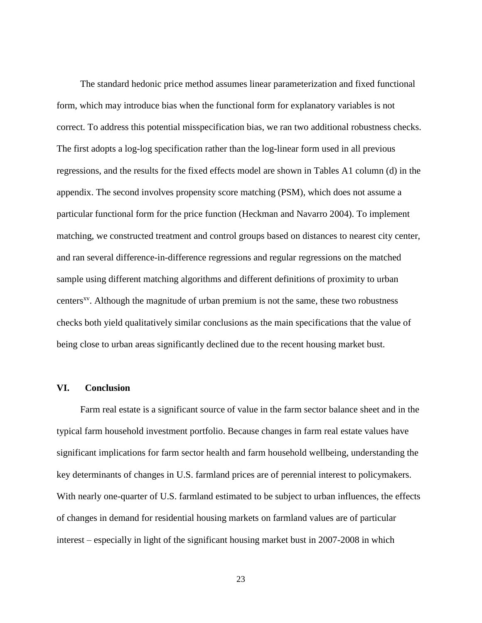The standard hedonic price method assumes linear parameterization and fixed functional form, which may introduce bias when the functional form for explanatory variables is not correct. To address this potential misspecification bias, we ran two additional robustness checks. The first adopts a log-log specification rather than the log-linear form used in all previous regressions, and the results for the fixed effects model are shown in Tables A1 column (d) in the appendix. The second involves propensity score matching (PSM), which does not assume a particular functional form for the price function (Heckman and Navarro 2004). To implement matching, we constructed treatment and control groups based on distances to nearest city center, and ran several difference-in-difference regressions and regular regressions on the matched sample using different matching algorithms and different definitions of proximity to urban centers<sup>xv</sup>. Although the magnitude of urban premium is not the same, these two robustness checks both yield qualitatively similar conclusions as the main specifications that the value of being close to urban areas significantly declined due to the recent housing market bust.

#### **VI. Conclusion**

 Farm real estate is a significant source of value in the farm sector balance sheet and in the typical farm household investment portfolio. Because changes in farm real estate values have significant implications for farm sector health and farm household wellbeing, understanding the key determinants of changes in U.S. farmland prices are of perennial interest to policymakers. With nearly one-quarter of U.S. farmland estimated to be subject to urban influences, the effects of changes in demand for residential housing markets on farmland values are of particular interest – especially in light of the significant housing market bust in 2007-2008 in which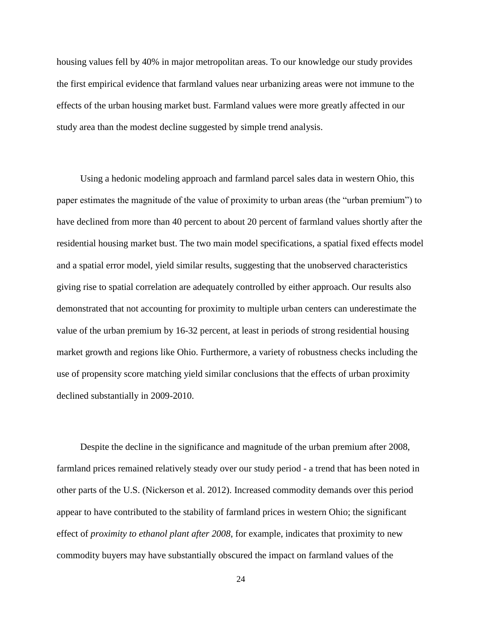housing values fell by 40% in major metropolitan areas. To our knowledge our study provides the first empirical evidence that farmland values near urbanizing areas were not immune to the effects of the urban housing market bust. Farmland values were more greatly affected in our study area than the modest decline suggested by simple trend analysis.

 Using a hedonic modeling approach and farmland parcel sales data in western Ohio, this paper estimates the magnitude of the value of proximity to urban areas (the "urban premium") to have declined from more than 40 percent to about 20 percent of farmland values shortly after the residential housing market bust. The two main model specifications, a spatial fixed effects model and a spatial error model, yield similar results, suggesting that the unobserved characteristics giving rise to spatial correlation are adequately controlled by either approach. Our results also demonstrated that not accounting for proximity to multiple urban centers can underestimate the value of the urban premium by 16-32 percent, at least in periods of strong residential housing market growth and regions like Ohio. Furthermore, a variety of robustness checks including the use of propensity score matching yield similar conclusions that the effects of urban proximity declined substantially in 2009-2010.

 Despite the decline in the significance and magnitude of the urban premium after 2008, farmland prices remained relatively steady over our study period - a trend that has been noted in other parts of the U.S. (Nickerson et al. 2012). Increased commodity demands over this period appear to have contributed to the stability of farmland prices in western Ohio; the significant effect of *proximity to ethanol plant after 2008*, for example, indicates that proximity to new commodity buyers may have substantially obscured the impact on farmland values of the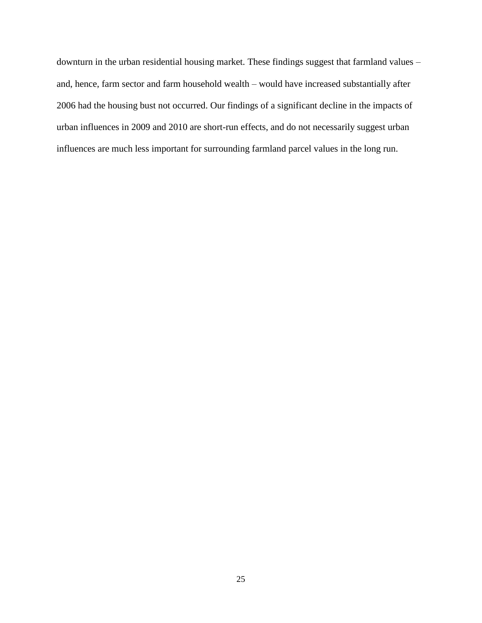downturn in the urban residential housing market. These findings suggest that farmland values – and, hence, farm sector and farm household wealth – would have increased substantially after 2006 had the housing bust not occurred. Our findings of a significant decline in the impacts of urban influences in 2009 and 2010 are short-run effects, and do not necessarily suggest urban influences are much less important for surrounding farmland parcel values in the long run.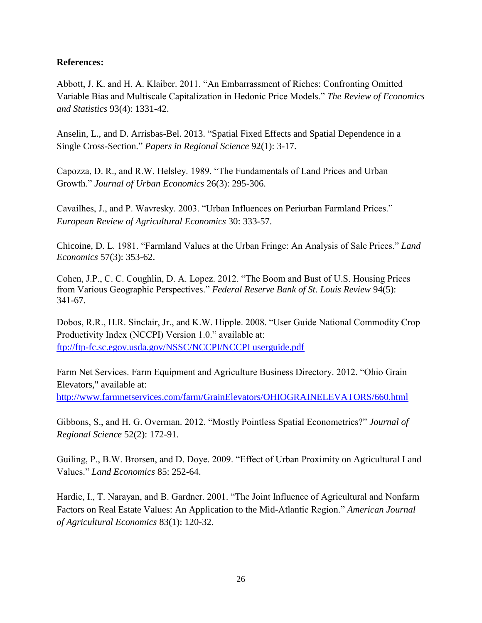## **References:**

Abbott, J. K. and H. A. Klaiber. 2011. "An Embarrassment of Riches: Confronting Omitted Variable Bias and Multiscale Capitalization in Hedonic Price Models." *The Review of Economics and Statistics* 93(4): 1331-42.

Anselin, L., and D. Arrisbas-Bel. 2013. "Spatial Fixed Effects and Spatial Dependence in a Single Cross-Section." *Papers in Regional Science* 92(1): 3-17.

Capozza, D. R., and R.W. Helsley. 1989. "The Fundamentals of Land Prices and Urban Growth." *Journal of Urban Economics* 26(3): 295-306.

Cavailhes, J., and P. Wavresky. 2003. "Urban Influences on Periurban Farmland Prices." *European Review of Agricultural Economics* 30: 333-57.

Chicoine, D. L. 1981. "Farmland Values at the Urban Fringe: An Analysis of Sale Prices." *Land Economics* 57(3): 353-62.

Cohen, J.P., C. C. Coughlin, D. A. Lopez. 2012. "The Boom and Bust of U.S. Housing Prices from Various Geographic Perspectives." *Federal Reserve Bank of St. Louis Review* 94(5): 341-67.

Dobos, R.R., H.R. Sinclair, Jr., and K.W. Hipple. 2008. "User Guide National Commodity Crop Productivity Index (NCCPI) Version 1.0." available at: <ftp://ftp-fc.sc.egov.usda.gov/NSSC/NCCPI/NCCPI userguide.pdf>

Farm Net Services. Farm Equipment and Agriculture Business Directory. 2012. "Ohio Grain Elevators," available at: <http://www.farmnetservices.com/farm/GrainElevators/OHIOGRAINELEVATORS/660.html>

Gibbons, S., and H. G. Overman. 2012. "Mostly Pointless Spatial Econometrics?" *Journal of Regional Science* 52(2): 172-91.

Guiling, P., B.W. Brorsen, and D. Doye. 2009. "Effect of Urban Proximity on Agricultural Land Values." *Land Economics* 85: 252-64.

Hardie, I., T. Narayan, and B. Gardner. 2001. "The Joint Influence of Agricultural and Nonfarm Factors on Real Estate Values: An Application to the Mid-Atlantic Region." *American Journal of Agricultural Economics* 83(1): 120-32.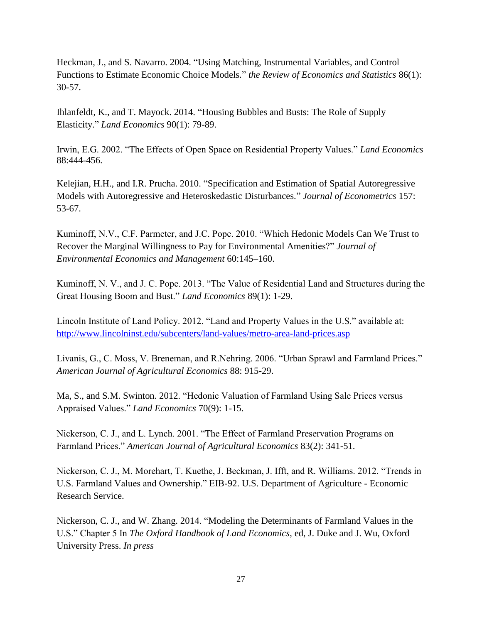Heckman, J., and S. Navarro. 2004. "Using Matching, Instrumental Variables, and Control Functions to Estimate Economic Choice Models." *the Review of Economics and Statistics* 86(1): 30-57.

Ihlanfeldt, K., and T. Mayock. 2014. "Housing Bubbles and Busts: The Role of Supply Elasticity." *Land Economics* 90(1): 79-89.

Irwin, E.G. 2002. "The Effects of Open Space on Residential Property Values." *Land Economics* 88:444-456.

Kelejian, H.H., and I.R. Prucha. 2010. "Specification and Estimation of Spatial Autoregressive Models with Autoregressive and Heteroskedastic Disturbances." *Journal of Econometrics* 157: 53-67.

Kuminoff, N.V., C.F. Parmeter, and J.C. Pope. 2010. "Which Hedonic Models Can We Trust to Recover the Marginal Willingness to Pay for Environmental Amenities?" *Journal of Environmental Economics and Management* 60:145–160.

Kuminoff, N. V., and J. C. Pope. 2013. "The Value of Residential Land and Structures during the Great Housing Boom and Bust." *Land Economics* 89(1): 1-29.

Lincoln Institute of Land Policy. 2012. "Land and Property Values in the U.S." available at: <http://www.lincolninst.edu/subcenters/land-values/metro-area-land-prices.asp>

Livanis, G., C. Moss, V. Breneman, and R.Nehring. 2006. "Urban Sprawl and Farmland Prices." *American Journal of Agricultural Economics* 88: 915-29.

Ma, S., and S.M. Swinton. 2012. "Hedonic Valuation of Farmland Using Sale Prices versus Appraised Values." *Land Economics* 70(9): 1-15.

Nickerson, C. J., and L. Lynch. 2001. "The Effect of Farmland Preservation Programs on Farmland Prices." *American Journal of Agricultural Economics* 83(2): 341-51.

Nickerson, C. J., M. Morehart, T. Kuethe, J. Beckman, J. Ifft, and R. Williams. 2012. "Trends in U.S. Farmland Values and Ownership." EIB-92. U.S. Department of Agriculture - Economic Research Service.

Nickerson, C. J., and W. Zhang. 2014. "Modeling the Determinants of Farmland Values in the U.S." Chapter 5 In *The Oxford Handbook of Land Economics*, ed, J. Duke and J. Wu, Oxford University Press. *In press*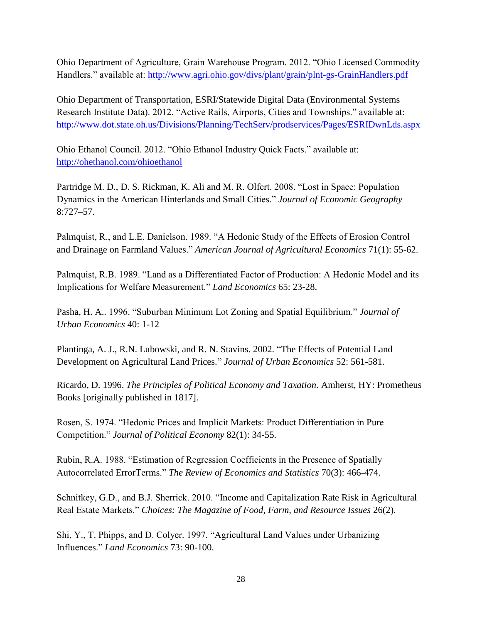Ohio Department of Agriculture, Grain Warehouse Program. 2012. "Ohio Licensed Commodity Handlers." available at:<http://www.agri.ohio.gov/divs/plant/grain/plnt-gs-GrainHandlers.pdf>

Ohio Department of Transportation, ESRI/Statewide Digital Data (Environmental Systems Research Institute Data). 2012. "Active Rails, Airports, Cities and Townships." available at: <http://www.dot.state.oh.us/Divisions/Planning/TechServ/prodservices/Pages/ESRIDwnLds.aspx>

Ohio Ethanol Council. 2012. "Ohio Ethanol Industry Quick Facts." available at: <http://ohethanol.com/ohioethanol>

Partridge M. D., D. S. Rickman, K. Ali and M. R. Olfert. 2008. "Lost in Space: Population Dynamics in the American Hinterlands and Small Cities." *Journal of Economic Geography* 8:727–57.

Palmquist, R., and L.E. Danielson. 1989. "A Hedonic Study of the Effects of Erosion Control and Drainage on Farmland Values." *American Journal of Agricultural Economics* 71(1): 55-62.

Palmquist, R.B. 1989. "Land as a Differentiated Factor of Production: A Hedonic Model and its Implications for Welfare Measurement." *Land Economics* 65: 23-28.

Pasha, H. A.. 1996. "Suburban Minimum Lot Zoning and Spatial Equilibrium." *Journal of Urban Economics* 40: 1-12

Plantinga, A. J., R.N. Lubowski, and R. N. Stavins. 2002. "The Effects of Potential Land Development on Agricultural Land Prices." *Journal of Urban Economics* 52: 561-581.

Ricardo, D. 1996. *The Principles of Political Economy and Taxation*. Amherst, HY: Prometheus Books [originally published in 1817].

Rosen, S. 1974. "Hedonic Prices and Implicit Markets: Product Differentiation in Pure Competition." *Journal of Political Economy* 82(1): 34-55.

Rubin, R.A. 1988. "Estimation of Regression Coefficients in the Presence of Spatially Autocorrelated ErrorTerms." *The Review of Economics and Statistics* 70(3): 466-474.

Schnitkey, G.D., and B.J. Sherrick. 2010. "Income and Capitalization Rate Risk in Agricultural Real Estate Markets." *Choices: The Magazine of Food, Farm, and Resource Issues* 26(2).

Shi, Y., T. Phipps, and D. Colyer. 1997. "Agricultural Land Values under Urbanizing Influences." *Land Economics* 73: 90-100.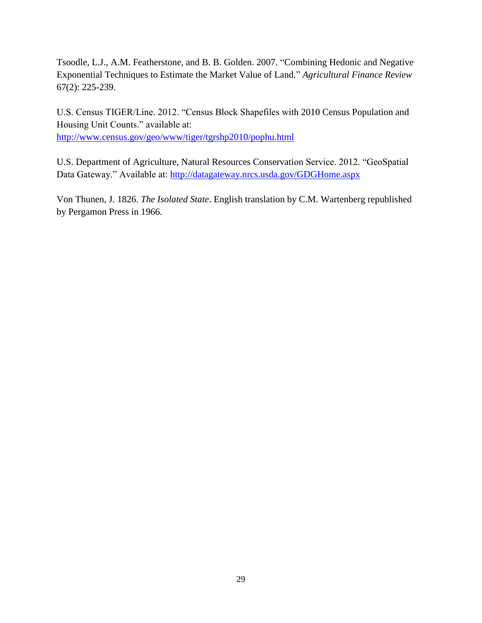Tsoodle, L.J., A.M. Featherstone, and B. B. Golden. 2007. "Combining Hedonic and Negative Exponential Techniques to Estimate the Market Value of Land." *Agricultural Finance Review* 67(2): 225-239.

U.S. Census TIGER/Line. 2012. "Census Block Shapefiles with 2010 Census Population and Housing Unit Counts." available at: <http://www.census.gov/geo/www/tiger/tgrshp2010/pophu.html>

U.S. Department of Agriculture, Natural Resources Conservation Service. 2012. "GeoSpatial Data Gateway." Available at:<http://datagateway.nrcs.usda.gov/GDGHome.aspx>

Von Thunen, J. 1826. *The Isolated State*. English translation by C.M. Wartenberg republished by Pergamon Press in 1966.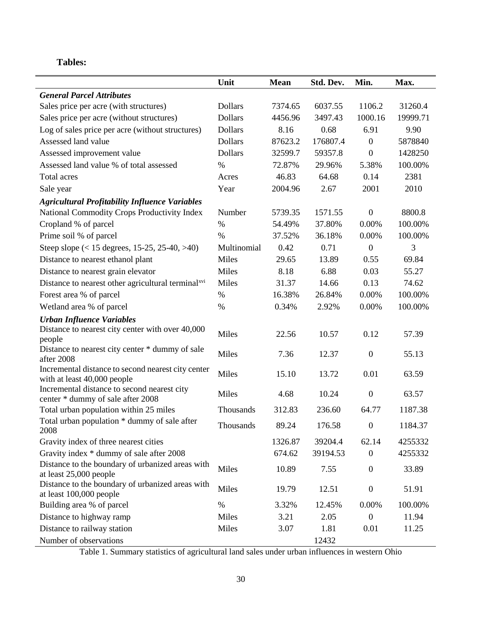# **Tables:**

|                                                                             | Unit           | <b>Mean</b> | Std. Dev. | Min.             | Max.     |
|-----------------------------------------------------------------------------|----------------|-------------|-----------|------------------|----------|
| <b>General Parcel Attributes</b>                                            |                |             |           |                  |          |
| Sales price per acre (with structures)                                      | <b>Dollars</b> | 7374.65     | 6037.55   | 1106.2           | 31260.4  |
| Sales price per acre (without structures)                                   | <b>Dollars</b> | 4456.96     | 3497.43   | 1000.16          | 19999.71 |
| Log of sales price per acre (without structures)                            | <b>Dollars</b> | 8.16        | 0.68      | 6.91             | 9.90     |
| Assessed land value                                                         | <b>Dollars</b> | 87623.2     | 176807.4  | $\boldsymbol{0}$ | 5878840  |
| Assessed improvement value                                                  | <b>Dollars</b> | 32599.7     | 59357.8   | $\boldsymbol{0}$ | 1428250  |
| Assessed land value % of total assessed                                     | $\%$           | 72.87%      | 29.96%    | 5.38%            | 100.00%  |
| <b>Total acres</b>                                                          | Acres          | 46.83       | 64.68     | 0.14             | 2381     |
| Sale year                                                                   | Year           | 2004.96     | 2.67      | 2001             | 2010     |
| <b>Agricultural Profitability Influence Variables</b>                       |                |             |           |                  |          |
| National Commodity Crops Productivity Index                                 | Number         | 5739.35     | 1571.55   | $\boldsymbol{0}$ | 8800.8   |
| Cropland % of parcel                                                        | $\%$           | 54.49%      | 37.80%    | 0.00%            | 100.00%  |
| Prime soil % of parcel                                                      | $\%$           | 37.52%      | 36.18%    | 0.00%            | 100.00%  |
| Steep slope $(< 15$ degrees, 15-25, 25-40, >40)                             | Multinomial    | 0.42        | 0.71      | $\mathbf{0}$     | 3        |
| Distance to nearest ethanol plant                                           | Miles          | 29.65       | 13.89     | 0.55             | 69.84    |
| Distance to nearest grain elevator                                          | Miles          | 8.18        | 6.88      | 0.03             | 55.27    |
| Distance to nearest other agricultural terminal <sup>xvi</sup>              | Miles          | 31.37       | 14.66     | 0.13             | 74.62    |
| Forest area % of parcel                                                     | %              | 16.38%      | 26.84%    | 0.00%            | 100.00%  |
| Wetland area % of parcel                                                    | $\%$           | 0.34%       | 2.92%     | 0.00%            | 100.00%  |
| <b>Urban Influence Variables</b>                                            |                |             |           |                  |          |
| Distance to nearest city center with over 40,000                            | Miles          | 22.56       | 10.57     | 0.12             | 57.39    |
| people                                                                      |                |             |           |                  |          |
| Distance to nearest city center * dummy of sale<br>after 2008               | Miles          | 7.36        | 12.37     | $\boldsymbol{0}$ | 55.13    |
| Incremental distance to second nearest city center                          |                |             |           |                  |          |
| with at least 40,000 people                                                 | Miles          | 15.10       | 13.72     | 0.01             | 63.59    |
| Incremental distance to second nearest city                                 | Miles          | 4.68        | 10.24     | $\boldsymbol{0}$ | 63.57    |
| center * dummy of sale after 2008                                           |                |             |           |                  |          |
| Total urban population within 25 miles                                      | Thousands      | 312.83      | 236.60    | 64.77            | 1187.38  |
| Total urban population * dummy of sale after<br>2008                        | Thousands      | 89.24       | 176.58    | $\boldsymbol{0}$ | 1184.37  |
| Gravity index of three nearest cities                                       |                | 1326.87     | 39204.4   | 62.14            | 4255332  |
| Gravity index * dummy of sale after 2008                                    |                | 674.62      | 39194.53  | $\boldsymbol{0}$ | 4255332  |
| Distance to the boundary of urbanized areas with<br>at least 25,000 people  | Miles          | 10.89       | 7.55      | $\boldsymbol{0}$ | 33.89    |
| Distance to the boundary of urbanized areas with<br>at least 100,000 people | Miles          | 19.79       | 12.51     | $\boldsymbol{0}$ | 51.91    |
| Building area % of parcel                                                   | $\%$           | 3.32%       | 12.45%    | 0.00%            | 100.00%  |
| Distance to highway ramp                                                    | Miles          | 3.21        | 2.05      | $\mathbf{0}$     | 11.94    |
| Distance to railway station                                                 | Miles          | 3.07        | 1.81      | 0.01             | 11.25    |
| Number of observations                                                      |                |             | 12432     |                  |          |

Table 1. Summary statistics of agricultural land sales under urban influences in western Ohio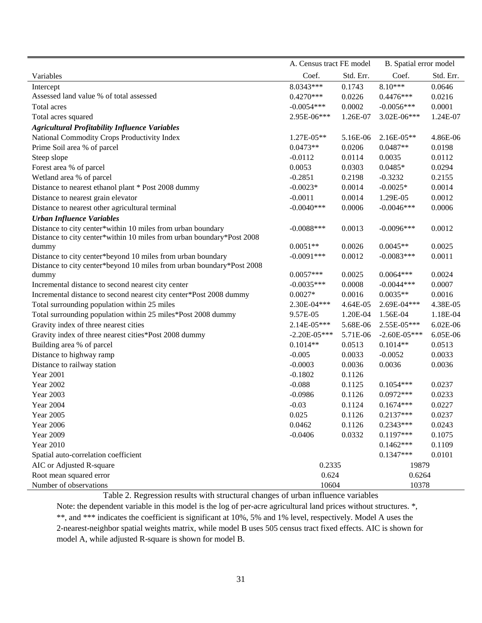|                                                                       | A. Census tract FE model |           | B. Spatial error model |           |  |
|-----------------------------------------------------------------------|--------------------------|-----------|------------------------|-----------|--|
| Variables                                                             | Coef.                    | Std. Err. | Coef.                  | Std. Err. |  |
| Intercept                                                             | 8.0343***                | 0.1743    | $8.10***$              | 0.0646    |  |
| Assessed land value % of total assessed                               | $0.4270***$              | 0.0226    | $0.4476***$            | 0.0216    |  |
| Total acres                                                           | $-0.0054***$             | 0.0002    | $-0.0056***$           | 0.0001    |  |
| Total acres squared                                                   | 2.95E-06***              | 1.26E-07  | 3.02E-06***            | 1.24E-07  |  |
| <b>Agricultural Profitability Influence Variables</b>                 |                          |           |                        |           |  |
| National Commodity Crops Productivity Index                           | 1.27E-05**               | 5.16E-06  | 2.16E-05**             | 4.86E-06  |  |
| Prime Soil area % of parcel                                           | $0.0473**$               | 0.0206    | $0.0487**$             | 0.0198    |  |
| Steep slope                                                           | $-0.0112$                | 0.0114    | 0.0035                 | 0.0112    |  |
| Forest area % of parcel                                               | 0.0053                   | 0.0303    | $0.0485*$              | 0.0294    |  |
| Wetland area % of parcel                                              | $-0.2851$                | 0.2198    | $-0.3232$              | 0.2155    |  |
| Distance to nearest ethanol plant * Post 2008 dummy                   | $-0.0023*$               | 0.0014    | $-0.0025*$             | 0.0014    |  |
| Distance to nearest grain elevator                                    | $-0.0011$                | 0.0014    | 1.29E-05               | 0.0012    |  |
| Distance to nearest other agricultural terminal                       | $-0.0040***$             | 0.0006    | $-0.0046***$           | 0.0006    |  |
| <b>Urban Influence Variables</b>                                      |                          |           |                        |           |  |
| Distance to city center*within 10 miles from urban boundary           | $-0.0088***$             | 0.0013    | $-0.0096***$           | 0.0012    |  |
| Distance to city center*within 10 miles from urban boundary*Post 2008 |                          |           |                        |           |  |
| dummy                                                                 | $0.0051**$               | 0.0026    | $0.0045**$             | 0.0025    |  |
| Distance to city center*beyond 10 miles from urban boundary           | $-0.0091***$             | 0.0012    | $-0.0083***$           | 0.0011    |  |
| Distance to city center*beyond 10 miles from urban boundary*Post 2008 |                          |           |                        |           |  |
| dummy                                                                 | $0.0057***$              | 0.0025    | $0.0064***$            | 0.0024    |  |
| Incremental distance to second nearest city center                    | $-0.0035***$             | 0.0008    | $-0.0044***$           | 0.0007    |  |
| Incremental distance to second nearest city center*Post 2008 dummy    | $0.0027*$                | 0.0016    | $0.0035**$             | 0.0016    |  |
| Total surrounding population within 25 miles                          | 2.30E-04***              | 4.64E-05  | 2.69E-04***            | 4.38E-05  |  |
| Total surrounding population within 25 miles*Post 2008 dummy          | 9.57E-05                 | 1.20E-04  | 1.56E-04               | 1.18E-04  |  |
| Gravity index of three nearest cities                                 | 2.14E-05***              | 5.68E-06  | 2.55E-05***            | 6.02E-06  |  |
| Gravity index of three nearest cities*Post 2008 dummy                 | $-2.20E - 05***$         | 5.71E-06  | $-2.60E - 05***$       | 6.05E-06  |  |
| Building area % of parcel                                             | $0.1014**$               | 0.0513    | $0.1014**$             | 0.0513    |  |
| Distance to highway ramp                                              | $-0.005$                 | 0.0033    | $-0.0052$              | 0.0033    |  |
| Distance to railway station                                           | $-0.0003$                | 0.0036    | 0.0036                 | 0.0036    |  |
| <b>Year 2001</b>                                                      | $-0.1802$                | 0.1126    |                        |           |  |
| <b>Year 2002</b>                                                      | $-0.088$                 | 0.1125    | $0.1054***$            | 0.0237    |  |
| <b>Year 2003</b>                                                      | $-0.0986$                | 0.1126    | $0.0972***$            | 0.0233    |  |
| <b>Year 2004</b>                                                      | $-0.03$                  | 0.1124    | $0.1674***$            | 0.0227    |  |
| <b>Year 2005</b>                                                      | 0.025                    | 0.1126    | $0.2137***$            | 0.0237    |  |
| <b>Year 2006</b>                                                      | 0.0462                   | 0.1126    | $0.2343***$            | 0.0243    |  |
| <b>Year 2009</b>                                                      | $-0.0406$                | 0.0332    | $0.1197***$            | 0.1075    |  |
| <b>Year 2010</b>                                                      |                          |           | $0.1462***$            | 0.1109    |  |
| Spatial auto-correlation coefficient                                  |                          |           | $0.1347***$            | 0.0101    |  |
| AIC or Adjusted R-square                                              | 0.2335                   |           | 19879                  |           |  |
| Root mean squared error                                               | 0.624                    |           | 0.6264                 |           |  |
| Number of observations                                                | 10604                    |           | 10378                  |           |  |

Table 2. Regression results with structural changes of urban influence variables

Note: the dependent variable in this model is the log of per-acre agricultural land prices without structures. \*, \*\*, and \*\*\* indicates the coefficient is significant at 10%, 5% and 1% level, respectively. Model A uses the 2-nearest-neighbor spatial weights matrix, while model B uses 505 census tract fixed effects. AIC is shown for model A, while adjusted R-square is shown for model B.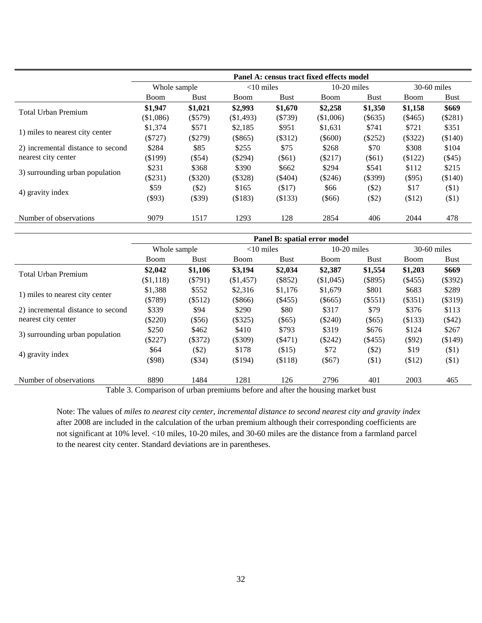|                                   |              |           |                                                                                    |           | Panel A: census tract fixed effects model |             |                                                                                                                                                                                 |             |
|-----------------------------------|--------------|-----------|------------------------------------------------------------------------------------|-----------|-------------------------------------------|-------------|---------------------------------------------------------------------------------------------------------------------------------------------------------------------------------|-------------|
|                                   | Whole sample |           | $<$ 10 miles                                                                       |           | $10-20$ miles                             |             |                                                                                                                                                                                 |             |
|                                   | Boom         | Bust      | Boom                                                                               | Bust      | Boom                                      | <b>Bust</b> | Boom                                                                                                                                                                            | <b>Bust</b> |
| <b>Total Urban Premium</b>        | \$1,947      | \$1,021   | \$2,993                                                                            | \$1,670   | \$2,258                                   | \$1,350     | \$1,158                                                                                                                                                                         | \$669       |
|                                   | (\$1,086)    | $(\$579)$ | (\$1,493)                                                                          | (\$739)   | (\$1,006)                                 | $($ \$635)  | $30-60$ miles<br>(\$281)<br>$(\$465)$<br>\$721<br>\$351<br>$(\$322)$<br>(\$140)<br>\$308<br>\$104<br>(\$122)<br>(\$45)<br>\$112<br>\$215<br>$(\$95)$<br>(\$140)<br>\$17<br>(S1) |             |
|                                   | \$1,374      | \$571     | \$2,185                                                                            | \$951     | \$1,631                                   | \$741       |                                                                                                                                                                                 |             |
| 1) miles to nearest city center   | (S727)       | $(\$279)$ | $(\$865)$                                                                          | (\$312)   | $(\$600)$                                 | $(\$252)$   |                                                                                                                                                                                 |             |
| 2) incremental distance to second | \$284        | \$85      | \$255                                                                              | \$75      | \$268                                     | \$70        |                                                                                                                                                                                 |             |
| nearest city center               | $(\$199)$    | $(\$54)$  | $(\$294)$<br>$(\$61)$<br>$(\$217)$<br>$(\$61)$<br>\$390<br>\$294<br>\$541<br>\$662 |           |                                           |             |                                                                                                                                                                                 |             |
| 3) surrounding urban population   | \$231        | \$368     |                                                                                    |           |                                           |             |                                                                                                                                                                                 |             |
|                                   | (\$231)      | $(\$320)$ | $(\$328)$                                                                          | $(\$404)$ | $(\$246)$                                 | $(\$399)$   |                                                                                                                                                                                 |             |
|                                   | \$59         | (S2)      | \$165                                                                              | ( \$17)   | \$66                                      | (S2)        |                                                                                                                                                                                 |             |
| 4) gravity index                  | $(\$93)$     | $(\$39)$  | (\$183)                                                                            | (\$133)   | $($ \$66)                                 | (S2)        | (\$12)                                                                                                                                                                          | ( \$1)      |
| Number of observations            | 9079         | 1517      | 1293                                                                               | 128       | 2854                                      | 406         | 2044                                                                                                                                                                            | 478         |

|                                   |              |             |              |             | Panel B: spatial error model         |             |                                                                                                                                          |               |
|-----------------------------------|--------------|-------------|--------------|-------------|--------------------------------------|-------------|------------------------------------------------------------------------------------------------------------------------------------------|---------------|
|                                   | Whole sample |             | $<$ 10 miles |             | $10-20$ miles                        |             |                                                                                                                                          | $30-60$ miles |
|                                   | <b>Boom</b>  | <b>Bust</b> | <b>Boom</b>  | <b>Bust</b> | <b>Boom</b>                          | <b>Bust</b> | Boom                                                                                                                                     | <b>Bust</b>   |
| <b>Total Urban Premium</b>        | \$2,042      | \$1,106     | \$3,194      | \$2,034     | \$2,387                              | \$1,554     | \$1,203                                                                                                                                  | \$669         |
|                                   | (\$1,118)    | $(\$791)$   | (\$1,457)    | (\$852)     | (\$1,045)                            | $(\$895)$   | $(\$455)$<br>\$801<br>\$683<br>$(\$551)$<br>$(\$351)$<br>\$79<br>\$376<br>$(\$65)$<br>(\$133)<br>\$676<br>\$124<br>$(\$92)$<br>$(\$455)$ | (\$392)       |
|                                   | \$1,388      | \$552       | \$2,316      | \$1,176     | \$1,679                              |             |                                                                                                                                          | \$289         |
| 1) miles to nearest city center   | (\$789)      | $(\$512)$   | $(\$866)$    | $($ \$455)  | $(\$665)$                            |             |                                                                                                                                          | $(\$319)$     |
| 2) incremental distance to second | \$339        | \$94        | \$290        | \$80        | \$317                                |             |                                                                                                                                          | \$113         |
| nearest city center               | $(\$220)$    | $(\$56)$    | $(\$325)$    | $(\$65)$    | $(\$240)$                            |             |                                                                                                                                          | $(\$42)$      |
|                                   | \$250        | \$462       | \$410        | \$793       | \$319                                |             |                                                                                                                                          | \$267         |
| 3) surrounding urban population   | (\$227)      | $(\$372)$   | $(\$309)$    | ( \$471)    | $(\$242)$<br>(\$149)<br>\$72<br>\$19 |             |                                                                                                                                          |               |
|                                   | \$64         | $(\$2)$     | \$178        | (\$15)      |                                      | $(\$2)$     |                                                                                                                                          | $($ \$1)      |
| 4) gravity index                  | $($ \$98)    | $(\$34)$    | (\$194)      | (\$118)     | $(\$67)$                             | $(\$1)$     | \$12)                                                                                                                                    | (\$1)         |
| Number of observations            | 8890         | 1484        | 1281         | 126         | 2796                                 | 401         | 2003                                                                                                                                     | 465           |

Table 3. Comparison of urban premiums before and after the housing market bust

Note: The values of *miles to nearest city center*, *incremental distance to second nearest city and gravity index* after 2008 are included in the calculation of the urban premium although their corresponding coefficients are not significant at 10% level. <10 miles, 10-20 miles, and 30-60 miles are the distance from a farmland parcel to the nearest city center. Standard deviations are in parentheses.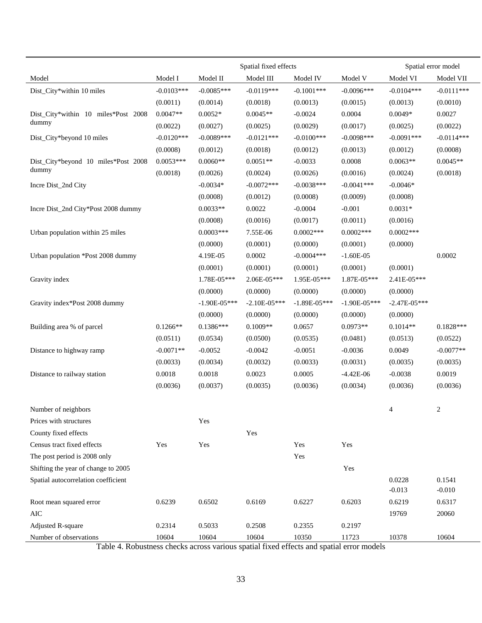|                                     |              | Spatial fixed effects |                  | Spatial error model |                |                |              |
|-------------------------------------|--------------|-----------------------|------------------|---------------------|----------------|----------------|--------------|
| Model                               | Model I      | Model II              | Model III        | Model IV            | Model V        | Model VI       | Model VII    |
| Dist_City*within 10 miles           | $-0.0103***$ | $-0.0085***$          | $-0.0119***$     | $-0.1001***$        | $-0.0096***$   | $-0.0104***$   | $-0.0111***$ |
|                                     | (0.0011)     | (0.0014)              | (0.0018)         | (0.0013)            | (0.0015)       | (0.0013)       | (0.0010)     |
| Dist_City*within 10 miles*Post 2008 | $0.0047**$   | $0.0052*$             | $0.0045**$       | $-0.0024$           | 0.0004         | $0.0049*$      | 0.0027       |
| dummy                               | (0.0022)     | (0.0027)              | (0.0025)         | (0.0029)            | (0.0017)       | (0.0025)       | (0.0022)     |
| Dist_City*beyond 10 miles           | $-0.0120***$ | $-0.0089***$          | $-0.0121***$     | $-0.0100***$        | $-0.0098***$   | $-0.0091***$   | $-0.0114***$ |
|                                     | (0.0008)     | (0.0012)              | (0.0018)         | (0.0012)            | (0.0013)       | (0.0012)       | (0.0008)     |
| Dist_City*beyond 10 miles*Post 2008 | $0.0053***$  | $0.0060**$            | $0.0051**$       | $-0.0033$           | 0.0008         | $0.0063**$     | $0.0045**$   |
| dummy                               | (0.0018)     | (0.0026)              | (0.0024)         | (0.0026)            | (0.0016)       | (0.0024)       | (0.0018)     |
| Incre Dist_2nd City                 |              | $-0.0034*$            | $-0.0072***$     | $-0.0038***$        | $-0.0041***$   | $-0.0046*$     |              |
|                                     |              | (0.0008)              | (0.0012)         | (0.0008)            | (0.0009)       | (0.0008)       |              |
| Incre Dist_2nd City*Post 2008 dummy |              | $0.0033**$            | 0.0022           | $-0.0004$           | $-0.001$       | $0.0031*$      |              |
|                                     |              | (0.0008)              | (0.0016)         | (0.0017)            | (0.0011)       | (0.0016)       |              |
| Urban population within 25 miles    |              | $0.0003***$           | 7.55E-06         | $0.0002***$         | $0.0002***$    | $0.0002***$    |              |
|                                     |              | (0.0000)              | (0.0001)         | (0.0000)            | (0.0001)       | (0.0000)       |              |
| Urban population *Post 2008 dummy   |              | 4.19E-05              | 0.0002           | $-0.0004$ ***       | $-1.60E-05$    |                | 0.0002       |
|                                     |              | (0.0001)              | (0.0001)         | (0.0001)            | (0.0001)       | (0.0001)       |              |
| Gravity index                       |              | 1.78E-05***           | $2.06E-05***$    | 1.95E-05***         | 1.87E-05***    | 2.41E-05***    |              |
|                                     |              | (0.0000)              | (0.0000)         | (0.0000)            | (0.0000)       | (0.0000)       |              |
| Gravity index*Post 2008 dummy       |              | $-1.90E - 05***$      | $-2.10E - 05***$ | $-1.89E - 05***$    | $-1.90E-05***$ | $-2.47E-05***$ |              |
|                                     |              | (0.0000)              | (0.0000)         | (0.0000)            | (0.0000)       | (0.0000)       |              |
| Building area % of parcel           | $0.1266**$   | $0.1386***$           | $0.1009**$       | 0.0657              | $0.0973**$     | $0.1014**$     | $0.1828***$  |
|                                     | (0.0511)     | (0.0534)              | (0.0500)         | (0.0535)            | (0.0481)       | (0.0513)       | (0.0522)     |
| Distance to highway ramp            | $-0.0071**$  | $-0.0052$             | $-0.0042$        | $-0.0051$           | $-0.0036$      | 0.0049         | $-0.0077**$  |
|                                     | (0.0033)     | (0.0034)              | (0.0032)         | (0.0033)            | (0.0031)       | (0.0035)       | (0.0035)     |
| Distance to railway station         | 0.0018       | 0.0018                | 0.0023           | 0.0005              | $-4.42E-06$    | $-0.0038$      | 0.0019       |
|                                     | (0.0036)     | (0.0037)              | (0.0035)         | (0.0036)            | (0.0034)       | (0.0036)       | (0.0036)     |
|                                     |              |                       |                  |                     |                |                |              |
| Number of neighbors                 |              |                       |                  |                     |                | 4              | 2            |
| Prices with structures              |              | Yes                   |                  |                     |                |                |              |
| County fixed effects                |              |                       | Yes              |                     |                |                |              |
| Census tract fixed effects          | Yes          | Yes                   |                  | Yes                 | Yes            |                |              |
| The post period is 2008 only        |              |                       |                  | Yes                 |                |                |              |
| Shifting the year of change to 2005 |              |                       |                  |                     | Yes            |                |              |
| Spatial autocorrelation coefficient |              |                       |                  |                     |                | 0.0228         | 0.1541       |
|                                     |              |                       |                  |                     |                | $-0.013$       | $-0.010$     |
| Root mean squared error             | 0.6239       | 0.6502                | 0.6169           | 0.6227              | 0.6203         | 0.6219         | 0.6317       |
| AIC                                 |              |                       |                  |                     |                | 19769          | 20060        |
| <b>Adjusted R-square</b>            | 0.2314       | 0.5033                | 0.2508           | 0.2355              | 0.2197         |                |              |
| Number of observations              | 10604        | 10604                 | 10604            | 10350               | 11723          | 10378          | 10604        |

Table 4. Robustness checks across various spatial fixed effects and spatial error models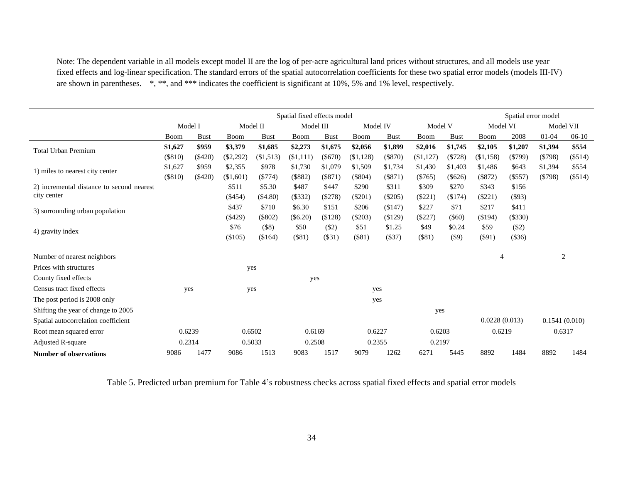Note: The dependent variable in all models except model II are the log of per-acre agricultural land prices without structures, and all models use year fixed effects and log-linear specification. The standard errors of the spatial autocorrelation coefficients for these two spatial error models (models III-IV) are shown in parentheses. \*, \*\*, and \*\*\* indicates the coefficient is significant at 10%, 5% and 1% level, respectively.

|                                           | Spatial fixed effects model |             |             |             |               |             |           |                     |           |             |                | Spatial error model |               |           |
|-------------------------------------------|-----------------------------|-------------|-------------|-------------|---------------|-------------|-----------|---------------------|-----------|-------------|----------------|---------------------|---------------|-----------|
|                                           |                             | Model I     |             | Model II    | Model III     |             |           | Model IV<br>Model V |           |             | Model VI       |                     | Model VII     |           |
|                                           | Boom                        | <b>Bust</b> | Boom        | <b>Bust</b> | Boom          | <b>Bust</b> | Boom      | <b>Bust</b>         | Boom      | <b>Bust</b> | Boom           | 2008                | 01-04         | $06-10$   |
| <b>Total Urban Premium</b>                | \$1,627                     | \$959       | \$3,379     | \$1,685     | \$2,273       | \$1,675     | \$2,056   | \$1,899             | \$2,016   | \$1,745     | \$2,105        | \$1,207             | \$1,394       | \$554     |
|                                           | (\$810)                     | ( \$420)    | $(\$2,292)$ | (\$1,513)   | (\$1,111)     | $(\$670)$   | (\$1,128) | $(\$870)$           | (\$1,127) | (S728)      | ( \$1,158)     | $($ \$799 $)$       | $(\$798)$     | $(\$514)$ |
| 1) miles to nearest city center           | \$1,627                     | \$959       | \$2,355     | \$978       | \$1,730       | \$1,079     | \$1,509   | \$1,734             | \$1,430   | \$1,403     | \$1,486        | \$643               | \$1,394       | \$554     |
|                                           | (\$810)                     | $(\$420)$   | (\$1,601)   | (S774)      | (\$882)       | $(\$871)$   | $(\$804)$ | $(\$871)$           | (\$765)   | $(\$626)$   | $(\$872)$      | $(\$557)$           | (5798)        | $(\$514)$ |
| 2) incremental distance to second nearest |                             |             | \$511       | \$5.30      | \$487         | \$447       | \$290     | \$311               | \$309     | \$270       | \$343          | \$156               |               |           |
| city center                               |                             |             | $(\$454)$   | (\$4.80)    | $($ \$332 $)$ | $(\$278)$   | $(\$201)$ | $(\$205)$           | $(\$221)$ | (\$174)     | $(\$221)$      | $($ \$93)           |               |           |
| 3) surrounding urban population           |                             |             | \$437       | \$710       | \$6.30        | \$151       | \$206     | (\$147)             | \$227     | \$71        | \$217          | \$411               |               |           |
|                                           |                             |             | $(\$429)$   | (\$802)     | $(\$6.20)$    | (\$128)     | $(\$203)$ | (\$129)             | (S227)    | $($ \$60)   | (\$194)        | (\$330)             |               |           |
| 4) gravity index                          |                             |             | \$76        | $($ \$8)    | \$50          | $(\$2)$     | \$51      | \$1.25              | \$49      | \$0.24      | \$59           | $(\$2)$             |               |           |
|                                           |                             |             | $(\$105)$   | (\$164)     | (\$81)        | (331)       | (\$81)    | $(\$37)$            | $(\$81)$  | $($ \$9)    | $(\$91)$       | (\$36)              |               |           |
| Number of nearest neighbors               |                             |             |             |             |               |             |           |                     |           |             | $\overline{4}$ |                     | 2             |           |
| Prices with structures                    |                             |             |             | yes         |               |             |           |                     |           |             |                |                     |               |           |
| County fixed effects                      |                             |             |             |             | yes           |             |           |                     |           |             |                |                     |               |           |
| Census tract fixed effects                |                             | yes         |             | yes         |               |             | yes       |                     |           |             |                |                     |               |           |
| The post period is 2008 only              |                             |             |             |             |               |             | yes       |                     |           |             |                |                     |               |           |
| Shifting the year of change to 2005       |                             |             |             |             |               |             |           |                     | yes       |             |                |                     |               |           |
| Spatial autocorrelation coefficient       |                             |             |             |             |               |             |           |                     |           |             | 0.0228(0.013)  |                     | 0.1541(0.010) |           |
| Root mean squared error                   | 0.6239                      |             | 0.6502      |             | 0.6169        |             | 0.6227    |                     | 0.6203    |             | 0.6219         |                     | 0.6317        |           |
| <b>Adjusted R-square</b>                  | 0.2314                      |             |             | 0.5033      | 0.2508        |             | 0.2355    |                     | 0.2197    |             |                |                     |               |           |
| <b>Number of observations</b>             | 9086                        | 1477        | 9086        | 1513        | 9083          | 1517        | 9079      | 1262                | 6271      | 5445        | 8892           | 1484                | 8892          | 1484      |

Table 5. Predicted urban premium for Table 4's robustness checks across spatial fixed effects and spatial error models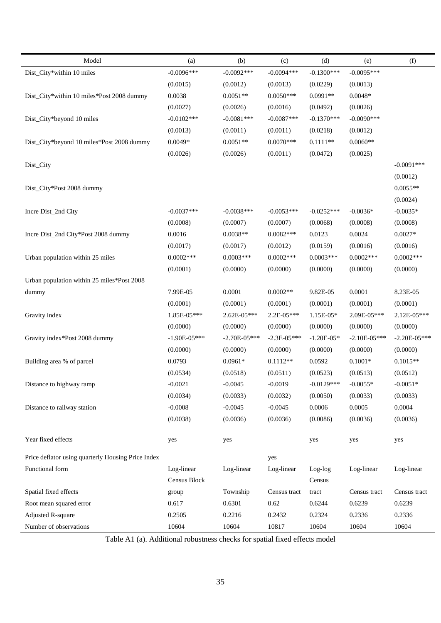| Model                                              | (a)              | (b)            | (c)             | (d)            | (e)            | (f)              |
|----------------------------------------------------|------------------|----------------|-----------------|----------------|----------------|------------------|
| Dist_City*within 10 miles                          | $-0.0096***$     | $-0.0092***$   | $-0.0094***$    | $-0.1300***$   | $-0.0095***$   |                  |
|                                                    | (0.0015)         | (0.0012)       | (0.0013)        | (0.0229)       | (0.0013)       |                  |
| Dist_City*within 10 miles*Post 2008 dummy          | 0.0038           | $0.0051**$     | $0.0050***$     | $0.0991**$     | $0.0048*$      |                  |
|                                                    | (0.0027)         | (0.0026)       | (0.0016)        | (0.0492)       | (0.0026)       |                  |
| Dist_City*beyond 10 miles                          | $-0.0102***$     | $-0.0081***$   | $-0.0087***$    | $-0.1370***$   | $-0.0090$ ***  |                  |
|                                                    | (0.0013)         | (0.0011)       | (0.0011)        | (0.0218)       | (0.0012)       |                  |
| Dist_City*beyond 10 miles*Post 2008 dummy          | $0.0049*$        | $0.0051**$     | $0.0070***$     | $0.1111**$     | $0.0060**$     |                  |
|                                                    | (0.0026)         | (0.0026)       | (0.0011)        | (0.0472)       | (0.0025)       |                  |
| Dist_City                                          |                  |                |                 |                |                | $-0.0091$ ***    |
|                                                    |                  |                |                 |                |                | (0.0012)         |
| Dist_City*Post 2008 dummy                          |                  |                |                 |                |                | $0.0055**$       |
|                                                    |                  |                |                 |                |                | (0.0024)         |
| Incre Dist_2nd City                                | $-0.0037***$     | $-0.0038***$   | $-0.0053***$    | $-0.0252***$   | $-0.0036*$     | $-0.0035*$       |
|                                                    | (0.0008)         | (0.0007)       | (0.0007)        | (0.0068)       | (0.0008)       | (0.0008)         |
| Incre Dist_2nd City*Post 2008 dummy                | 0.0016           | $0.0038**$     | $0.0082***$     | 0.0123         | 0.0024         | $0.0027*$        |
|                                                    | (0.0017)         | (0.0017)       | (0.0012)        | (0.0159)       | (0.0016)       | (0.0016)         |
| Urban population within 25 miles                   | $0.0002***$      | $0.0003***$    | $0.0002$ ***    | $0.0003***$    | $0.0002$ ***   | $0.0002***$      |
|                                                    | (0.0001)         | (0.0000)       | (0.0000)        | (0.0000)       | (0.0000)       | (0.0000)         |
| Urban population within 25 miles*Post 2008         |                  |                |                 |                |                |                  |
| dummy                                              | 7.99E-05         | 0.0001         | $0.0002**$      | 9.82E-05       | 0.0001         | 8.23E-05         |
|                                                    | (0.0001)         | (0.0001)       | (0.0001)        | (0.0001)       | (0.0001)       | (0.0001)         |
| Gravity index                                      | 1.85E-05***      | 2.62E-05***    | 2.2E-05***      | $1.15E-05*$    | 2.09E-05***    | 2.12E-05***      |
|                                                    | (0.0000)         | (0.0000)       | (0.0000)        | (0.0000)       | (0.0000)       | (0.0000)         |
| Gravity index*Post 2008 dummy                      | $-1.90E - 05***$ | $-2.70E-05***$ | $-2.3E - 05***$ | $-1.20E - 05*$ | $-2.10E-05***$ | $-2.20E - 05***$ |
|                                                    | (0.0000)         | (0.0000)       | (0.0000)        | (0.0000)       | (0.0000)       | (0.0000)         |
| Building area % of parcel                          | 0.0793           | $0.0961*$      | $0.1112**$      | 0.0592         | $0.1001*$      | $0.1015**$       |
|                                                    | (0.0534)         | (0.0518)       | (0.0511)        | (0.0523)       | (0.0513)       | (0.0512)         |
| Distance to highway ramp                           | $-0.0021$        | $-0.0045$      | $-0.0019$       | $-0.0129***$   | $-0.0055*$     | $-0.0051*$       |
|                                                    | (0.0034)         | (0.0033)       | (0.0032)        | (0.0050)       | (0.0033)       | (0.0033)         |
| Distance to railway station                        | $-0.0008$        | $-0.0045$      | $-0.0045$       | 0.0006         | 0.0005         | 0.0004           |
|                                                    | (0.0038)         | (0.0036)       | (0.0036)        | (0.0086)       | (0.0036)       | (0.0036)         |
|                                                    |                  |                |                 |                |                |                  |
| Year fixed effects                                 | yes              | yes            |                 | yes            | yes            | yes              |
| Price deflator using quarterly Housing Price Index |                  |                | yes             |                |                |                  |
| Functional form                                    | Log-linear       | Log-linear     | Log-linear      | $Log-log$      | Log-linear     | Log-linear       |
|                                                    | Census Block     |                |                 | Census         |                |                  |
| Spatial fixed effects                              | group            | Township       | Census tract    | tract          | Census tract   | Census tract     |
| Root mean squared error                            | 0.617            | 0.6301         | 0.62            | 0.6244         | 0.6239         | 0.6239           |
| <b>Adjusted R-square</b>                           | 0.2505           | 0.2216         | 0.2432          | 0.2324         | 0.2336         | 0.2336           |
| Number of observations                             | 10604            | 10604          | 10817           | 10604          | 10604          | 10604            |

Table A1 (a). Additional robustness checks for spatial fixed effects model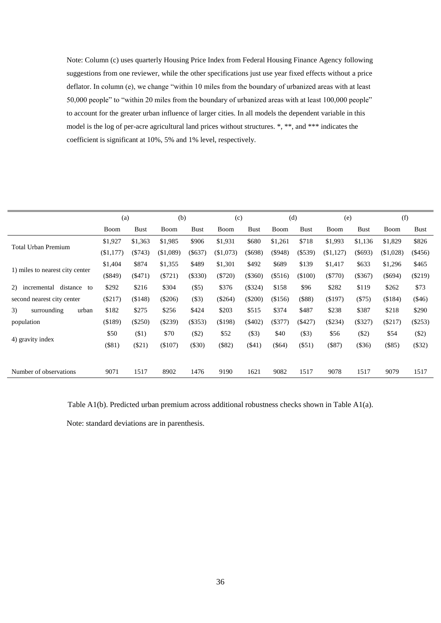Note: Column (c) uses quarterly Housing Price Index from Federal Housing Finance Agency following suggestions from one reviewer, while the other specifications just use year fixed effects without a price deflator. In column (e), we change "within 10 miles from the boundary of urbanized areas with at least 50,000 people" to "within 20 miles from the boundary of urbanized areas with at least 100,000 people" to account for the greater urban influence of larger cities. In all models the dependent variable in this model is the log of per-acre agricultural land prices without structures. \*, \*\*, and \*\*\* indicates the coefficient is significant at 10%, 5% and 1% level, respectively.

|                                     | (a)         |             | (b)         |             | (c)       |             | (d)       |             | (e)         |             | (f)        |           |
|-------------------------------------|-------------|-------------|-------------|-------------|-----------|-------------|-----------|-------------|-------------|-------------|------------|-----------|
|                                     | <b>Boom</b> | <b>Bust</b> | <b>Boom</b> | <b>Bust</b> | Boom      | <b>Bust</b> | Boom      | <b>Bust</b> | Boom        | <b>Bust</b> | Boom       | Bust      |
| <b>Total Urban Premium</b>          | \$1,927     | \$1,363     | \$1,985     | \$906       | \$1,931   | \$680       | \$1,261   | \$718       | \$1,993     | \$1,136     | \$1,829    | \$826     |
|                                     | (\$1,177)   | $(\$743)$   | (\$1,089)   | $(\$637)$   | (\$1,073) | $(\$698)$   | $(\$948)$ | $(\$539)$   | $(\$1,127)$ | $(\$693)$   | (\$1,028)  | $(\$456)$ |
|                                     | \$1,404     | \$874       | \$1,355     | \$489       | \$1,301   | \$492       | \$689     | \$139       | \$1,417     | \$633       | \$1,296    | \$465     |
| 1) miles to nearest city center     | (\$849)     | ( \$471)    | (\$721)     | (\$330)     | $(\$720)$ | $(\$360)$   | $(\$516)$ | (\$100)     | $(\$770)$   | $(\$367)$   | $($ \$694) | $(\$219)$ |
| distance<br>incremental<br>2)<br>to | \$292       | \$216       | \$304       | (\$5)       | \$376     | $(\$324)$   | \$158     | \$96        | \$282       | \$119       | \$262      | \$73      |
| second nearest city center          | $(\$217)$   | (\$148)     | $(\$206)$   | (\$3)       | $(\$264)$ | $(\$200)$   | (\$156)   | $(\$88)$    | (\$197)     | (575)       | (\$184)    | $($ \$46) |
| 3)<br>surrounding<br>urban          | \$182       | \$275       | \$256       | \$424       | \$203     | \$515       | \$374     | \$487       | \$238       | \$387       | \$218      | \$290     |
| population                          | ( \$189)    | (\$250)     | (\$239)     | (\$353)     | (\$198)   | $(\$402)$   | $(\$377)$ | $(\$427)$   | $(\$234)$   | $(\$327)$   | (\$217)    | $(\$253)$ |
|                                     | \$50        | $(\$1)$     | \$70        | (\$2)       | \$52      | (\$3)       | \$40      | (\$3)       | \$56        | $(\$2)$     | \$54       | (\$2)     |
| 4) gravity index                    | $(\$81)$    | $(\$21)$    | (\$107)     | $(\$30)$    | (\$82)    | ( \$41)     | $(\$64)$  | $($ \$51)   | $(\$87)$    | $(\$36)$    | (\$85)     | ( \$32)   |
|                                     |             |             |             |             |           |             |           |             |             |             |            |           |
| Number of observations              | 9071        | 1517        | 8902        | 1476        | 9190      | 1621        | 9082      | 1517        | 9078        | 1517        | 9079       | 1517      |

Table A1(b). Predicted urban premium across additional robustness checks shown in Table A1(a).

Note: standard deviations are in parenthesis.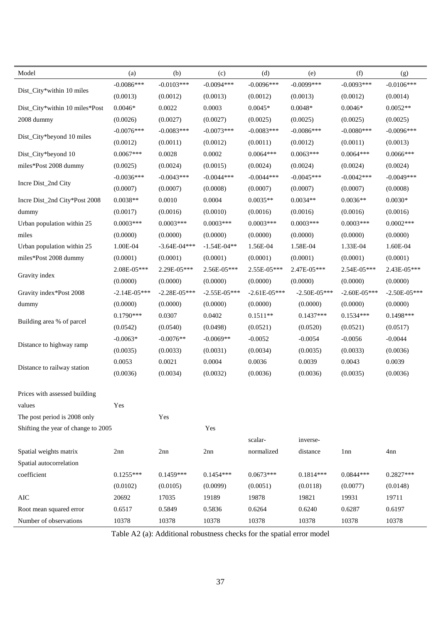| Model                               | (a)            | (b)               | (c)            | (d)            | (e)              | (f)              | (g)            |
|-------------------------------------|----------------|-------------------|----------------|----------------|------------------|------------------|----------------|
|                                     | $-0.0086***$   | $-0.0103***$      | $-0.0094***$   | $-0.0096***$   | $-0.0099$ ***    | $-0.0093***$     | $-0.0106***$   |
| Dist_City*within 10 miles           | (0.0013)       | (0.0012)          | (0.0013)       | (0.0012)       | (0.0013)         | (0.0012)         | (0.0014)       |
| Dist_City*within 10 miles*Post      | $0.0046*$      | 0.0022            | 0.0003         | $0.0045*$      | $0.0048*$        | $0.0046*$        | $0.0052**$     |
| 2008 dummy                          | (0.0026)       | (0.0027)          | (0.0027)       | (0.0025)       | (0.0025)         | (0.0025)         | (0.0025)       |
|                                     | $-0.0076***$   | $-0.0083***$      | $-0.0073***$   | $-0.0083***$   | $-0.0086***$     | $-0.0080***$     | $-0.0096***$   |
| Dist_City*beyond 10 miles           | (0.0012)       | (0.0011)          | (0.0012)       | (0.0011)       | (0.0012)         | (0.0011)         | (0.0013)       |
| Dist_City*beyond 10                 | $0.0067***$    | 0.0028            | 0.0002         | $0.0064***$    | $0.0063***$      | $0.0064***$      | 0.0066***      |
| miles*Post 2008 dummy               | (0.0025)       | (0.0024)          | (0.0015)       | (0.0024)       | (0.0024)         | (0.0024)         | (0.0024)       |
|                                     | $-0.0036***$   | $-0.0043***$      | $-0.0044***$   | $-0.0044***$   | $-0.0045***$     | $-0.0042***$     | $-0.0049***$   |
| Incre Dist_2nd City                 | (0.0007)       | (0.0007)          | (0.0008)       | (0.0007)       | (0.0007)         | (0.0007)         | (0.0008)       |
| Incre Dist_2nd City*Post 2008       | $0.0038**$     | 0.0010            | 0.0004         | $0.0035**$     | $0.0034**$       | $0.0036**$       | $0.0030*$      |
| dummy                               | (0.0017)       | (0.0016)          | (0.0010)       | (0.0016)       | (0.0016)         | (0.0016)         | (0.0016)       |
| Urban population within 25          | $0.0003***$    | $0.0003***$       | $0.0003***$    | $0.0003***$    | $0.0003***$      | $0.0003***$      | $0.0002***$    |
| miles                               | (0.0000)       | (0.0000)          | (0.0000)       | (0.0000)       | (0.0000)         | (0.0000)         | (0.0000)       |
| Urban population within 25          | 1.00E-04       | $-3.64E - 04$ *** | $-1.54E-04**$  | 1.56E-04       | 1.58E-04         | 1.33E-04         | 1.60E-04       |
| miles*Post 2008 dummy               | (0.0001)       | (0.0001)          | (0.0001)       | (0.0001)       | (0.0001)         | (0.0001)         | (0.0001)       |
|                                     | 2.08E-05***    | 2.29E-05***       | 2.56E-05***    | 2.55E-05***    | 2.47E-05***      | 2.54E-05***      | 2.43E-05***    |
| Gravity index                       | (0.0000)       | (0.0000)          | (0.0000)       | (0.0000)       | (0.0000)         | (0.0000)         | (0.0000)       |
| Gravity index*Post 2008             | $-2.14E-05***$ | $-2.28E - 05***$  | $-2.55E-05***$ | $-2.61E-05***$ | $-2.50E - 05***$ | $-2.60E - 05***$ | $-2.50E-05***$ |
| dummy                               | (0.0000)       | (0.0000)          | (0.0000)       | (0.0000)       | (0.0000)         | (0.0000)         | (0.0000)       |
|                                     | $0.1790***$    | 0.0307            | 0.0402         | $0.1511**$     | $0.1437***$      | $0.1534***$      | $0.1498***$    |
| Building area % of parcel           | (0.0542)       | (0.0540)          | (0.0498)       | (0.0521)       | (0.0520)         | (0.0521)         | (0.0517)       |
|                                     | $-0.0063*$     | $-0.0076**$       | $-0.0069**$    | $-0.0052$      | $-0.0054$        | $-0.0056$        | $-0.0044$      |
| Distance to highway ramp            | (0.0035)       | (0.0033)          | (0.0031)       | (0.0034)       | (0.0035)         | (0.0033)         | (0.0036)       |
|                                     | 0.0053         | 0.0021            | 0.0004         | 0.0036         | 0.0039           | 0.0043           | 0.0039         |
| Distance to railway station         | (0.0036)       | (0.0034)          | (0.0032)       | (0.0036)       | (0.0036)         | (0.0035)         | (0.0036)       |
| Prices with assessed building       |                |                   |                |                |                  |                  |                |
| values                              | Yes            |                   |                |                |                  |                  |                |
| The post period is 2008 only        |                | Yes               |                |                |                  |                  |                |
| Shifting the year of change to 2005 |                |                   | Yes            |                |                  |                  |                |
|                                     |                |                   |                | scalar-        | inverse-         |                  |                |
| Spatial weights matrix              | 2nn            | 2nn               | 2nn            | normalized     | distance         | 1 <sub>nn</sub>  | 4nn            |
| Spatial autocorrelation             |                |                   |                |                |                  |                  |                |
| coefficient                         | $0.1255***$    | $0.1459***$       | $0.1454***$    | $0.0673***$    | $0.1814***$      | $0.0844***$      | $0.2827***$    |
|                                     | (0.0102)       | (0.0105)          | (0.0099)       | (0.0051)       | (0.0118)         | (0.0077)         | (0.0148)       |
| $\rm AIC$                           | 20692          | 17035             | 19189          | 19878          | 19821            | 19931            | 19711          |
| Root mean squared error             | 0.6517         | 0.5849            | 0.5836         | 0.6264         | 0.6240           | 0.6287           | 0.6197         |
| Number of observations              | 10378          | 10378             | 10378          | 10378          | 10378            | 10378            | 10378          |
|                                     |                |                   |                |                |                  |                  |                |

Table A2 (a): Additional robustness checks for the spatial error model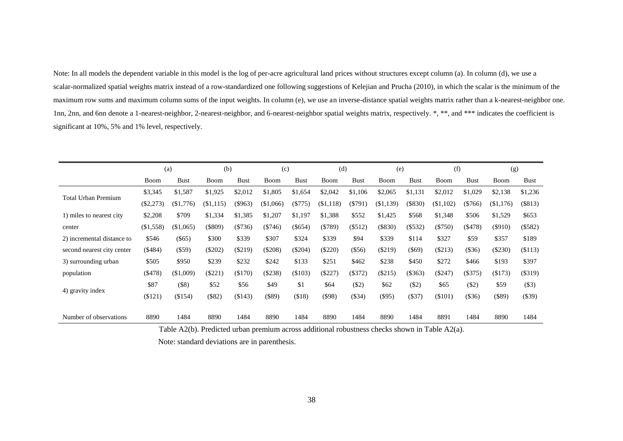Note: In all models the dependent variable in this model is the log of per-acre agricultural land prices without structures except column (a). In column (d), we use a scalar-normalized spatial weights matrix instead of a row-standardized one following suggestions of Kelejian and Prucha (2010), in which the scalar is the minimum of the maximum row sums and maximum column sums of the input weights. In column (e), we use an inverse-distance spatial weights matrix rather than a k-nearest-neighbor one. 1nn, 2nn, and 6nn denote a 1-nearest-neighbor, 2-nearest-neighbor, and 6-nearest-neighbor spatial weights matrix, respectively. \*, \*\*, and \*\*\* indicates the coefficient is significant at 10%, 5% and 1% level, respectively.

|                            |             | (a)         | (b)         |             | (c)       |               | (d)        |             | (e)       |             | (f)       |             | (g)       |             |
|----------------------------|-------------|-------------|-------------|-------------|-----------|---------------|------------|-------------|-----------|-------------|-----------|-------------|-----------|-------------|
|                            | <b>Boom</b> | <b>Bust</b> | Boom        | <b>Bust</b> | Boom      | <b>Bust</b>   | Boom       | <b>Bust</b> | Boom      | <b>Bust</b> | Boom      | <b>Bust</b> | Boom      | <b>Bust</b> |
| <b>Total Urban Premium</b> | \$3,345     | \$1,587     | \$1,925     | \$2,012     | \$1,805   | \$1,654       | \$2,042    | \$1,106     | \$2,065   | \$1,131     | \$2,012   | \$1,029     | \$2,138   | \$1,236     |
|                            | $(\$2,273)$ | (\$1,776)   | ( \$1, 115) | $(\$963)$   | (\$1,066) | $(\$775)$     | ( \$1,118) | $(\$791)$   | (\$1,139) | $(\$830)$   | (\$1,102) | $(\$766)$   | (\$1,176) | (\$813)     |
| 1) miles to nearest city   | \$2,208     | \$709       | \$1,334     | \$1,385     | \$1,207   | \$1,197       | \$1,388    | \$552       | \$1,425   | \$568       | \$1,348   | \$506       | \$1,529   | \$653       |
| center                     | (\$1,558)   | (\$1,065)   | (\$809)     | (\$736)     | (\$746)   | $($ \$654 $)$ | (\$789)    | (\$512)     | $(\$830)$ | (\$532)     | $(\$750)$ | ( \$478)    | $(\$910)$ | (\$582)     |
| 2) incremental distance to | \$546       | $(\$65)$    | \$300       | \$339       | \$307     | \$324         | \$339      | \$94        | \$339     | \$114       | \$327     | \$59        | \$357     | \$189       |
| second nearest city center | (\$484)     | $(\$59)$    | $(\$202)$   | $(\$219)$   | $(\$208)$ | $(\$204)$     | $(\$220)$  | $(\$56)$    | $(\$219)$ | $($ \$69)   | (\$213)   | $(\$36)$    | (\$230)   | \$113)      |
| 3) surrounding urban       | \$505       | \$950       | \$239       | \$232       | \$242     | \$133         | \$251      | \$462       | \$238     | \$450       | \$272     | \$466       | \$193     | \$397       |
| population                 | $(\$478)$   | (\$1,009)   | (\$221)     | (\$170)     | (\$238)   | (\$103)       | (\$227)    | $($ \$372)  | (\$215)   | $(\$363)$   | $(\$247)$ | $(\$375)$   | (\$173)   | (\$319)     |
|                            | \$87        | $($ \$8)    | \$52        | \$56        | \$49      | \$1           | \$64       | ( \$2)      | \$62      | $(\$2)$     | \$65      | ( \$2)      | \$59      | $($ \$3)    |
| 4) gravity index           | (\$121)     | (\$154)     | (\$82)      | (\$143)     | (\$89)    | ( \$18)       | $(\$98)$   | $(\$34)$    | $(\$95)$  | (\$37)      | (\$101)   | (\$36)      | $(\$89)$  | $(\$39)$    |
|                            |             |             |             |             |           |               |            |             |           |             |           |             |           |             |
| Number of observations     | 8890        | 1484        | 8890        | 1484        | 8890      | 1484          | 8890       | 1484        | 8890      | 1484        | 8891      | 1484        | 8890      | 1484        |

Table A2(b). Predicted urban premium across additional robustness checks shown in Table A2(a).

Note: standard deviations are in parenthesis.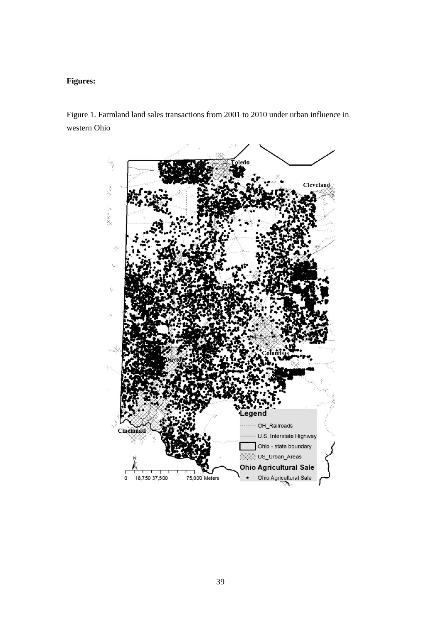## **Figures:**

Figure 1. Farmland land sales transactions from 2001 to 2010 under urban influence in western Ohio

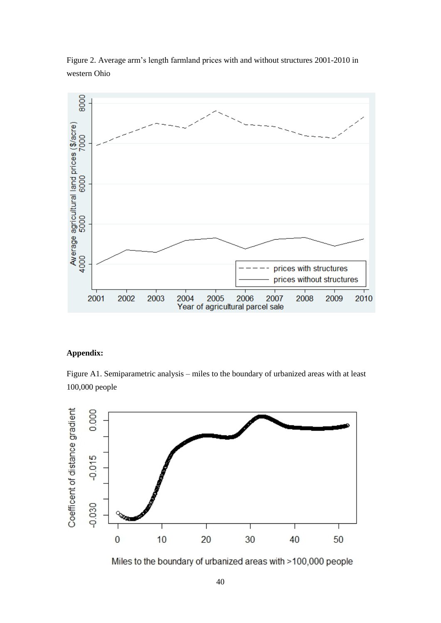Figure 2. Average arm's length farmland prices with and without structures 2001-2010 in western Ohio



## **Appendix:**

Figure A1. Semiparametric analysis – miles to the boundary of urbanized areas with at least 100,000 people



Miles to the boundary of urbanized areas with >100,000 people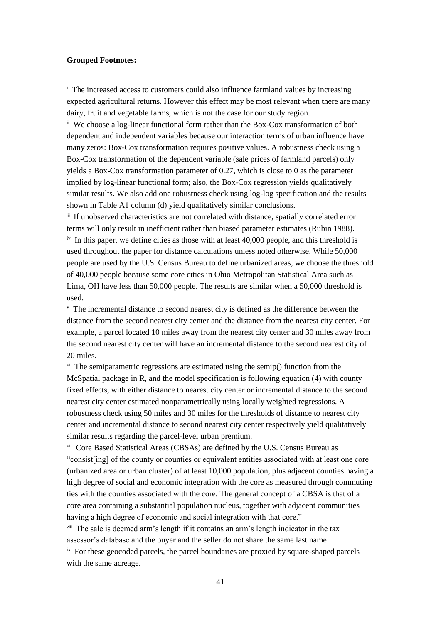#### **Grouped Footnotes:**

**.** 

<sup>i</sup> The increased access to customers could also influence farmland values by increasing expected agricultural returns. However this effect may be most relevant when there are many dairy, fruit and vegetable farms, which is not the case for our study region.

ii We choose a log-linear functional form rather than the Box-Cox transformation of both dependent and independent variables because our interaction terms of urban influence have many zeros: Box-Cox transformation requires positive values. A robustness check using a Box-Cox transformation of the dependent variable (sale prices of farmland parcels) only yields a Box-Cox transformation parameter of 0.27, which is close to 0 as the parameter implied by log-linear functional form; also, the Box-Cox regression yields qualitatively similar results. We also add one robustness check using log-log specification and the results shown in Table A1 column (d) yield qualitatively similar conclusions.

iii If unobserved characteristics are not correlated with distance, spatially correlated error terms will only result in inefficient rather than biased parameter estimates (Rubin 1988).  $\mu$ <sup>iv</sup> In this paper, we define cities as those with at least 40,000 people, and this threshold is used throughout the paper for distance calculations unless noted otherwise. While 50,000 people are used by the U.S. Census Bureau to define urbanized areas, we choose the threshold of 40,000 people because some core cities in Ohio Metropolitan Statistical Area such as Lima, OH have less than 50,000 people. The results are similar when a 50,000 threshold is used.

<sup>v</sup> The incremental distance to second nearest city is defined as the difference between the distance from the second nearest city center and the distance from the nearest city center. For example, a parcel located 10 miles away from the nearest city center and 30 miles away from the second nearest city center will have an incremental distance to the second nearest city of 20 miles.

 $\gamma$ <sup>i</sup>. The semiparametric regressions are estimated using the semip() function from the McSpatial package in R, and the model specification is following equation (4) with county fixed effects, with either distance to nearest city center or incremental distance to the second nearest city center estimated nonparametrically using locally weighted regressions. A robustness check using 50 miles and 30 miles for the thresholds of distance to nearest city center and incremental distance to second nearest city center respectively yield qualitatively similar results regarding the parcel-level urban premium.

vii Core Based Statistical Areas (CBSAs) are defined by the U.S. Census Bureau as "consist[ing] of the county or counties or equivalent entities associated with at least one core (urbanized area or urban cluster) of at least 10,000 population, plus adjacent counties having a high degree of social and economic integration with the core as measured through commuting ties with the counties associated with the core. The general concept of a CBSA is that of a core area containing a substantial population nucleus, together with adjacent communities having a high degree of economic and social integration with that core."

viii The sale is deemed arm's length if it contains an arm's length indicator in the tax assessor's database and the buyer and the seller do not share the same last name.

 $i<sup>x</sup>$  For these geocoded parcels, the parcel boundaries are proxied by square-shaped parcels with the same acreage.